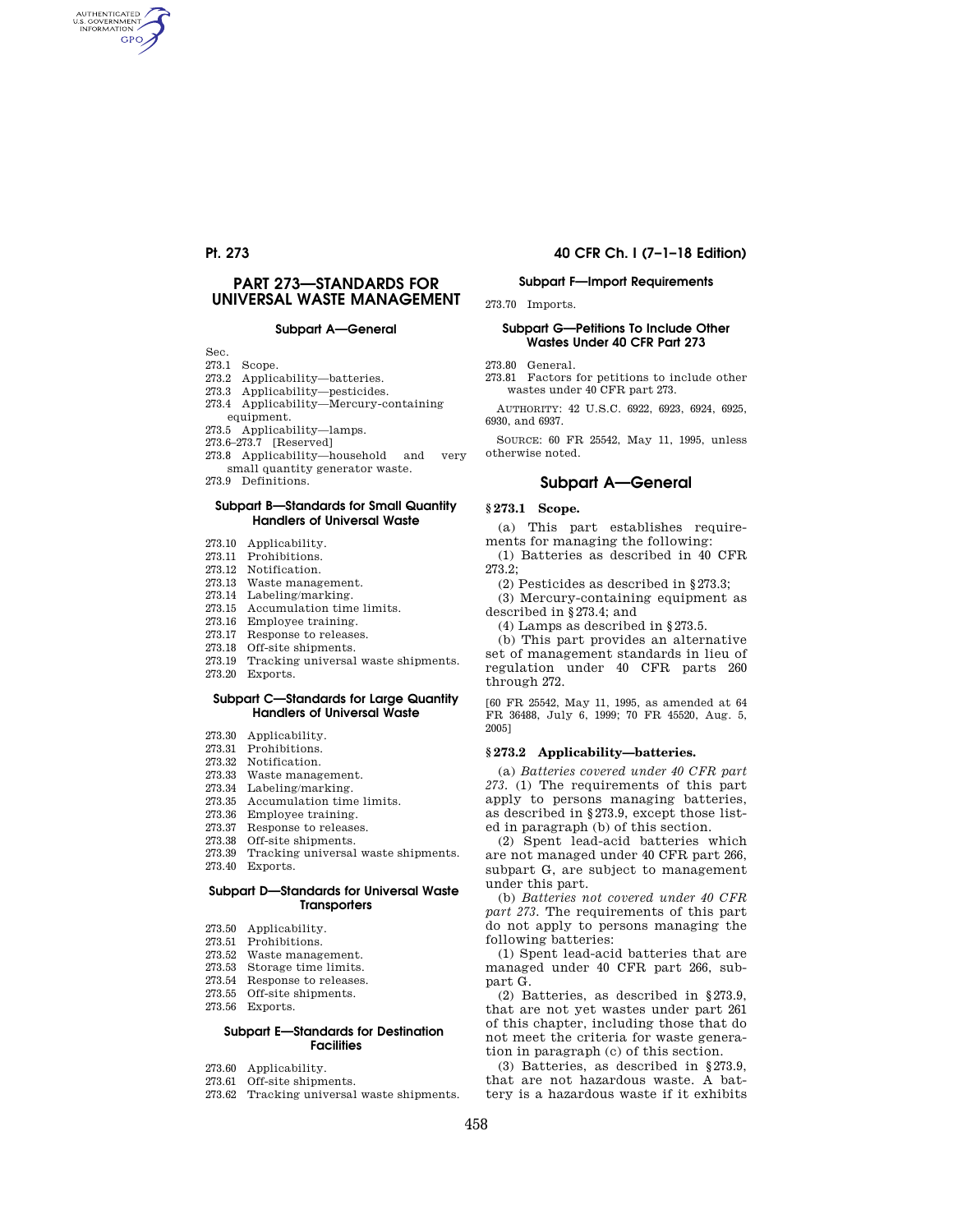AUTHENTICATED<br>U.S. GOVERNMENT<br>INFORMATION **GPO** 

# **PART 273—STANDARDS FOR UNIVERSAL WASTE MANAGEMENT**

#### **Subpart A—General**

Sec.

- 273.1 Scope.
- 273.2 Applicability—batteries.
- 273.3 Applicability—pesticides.
- 273.4 Applicability—Mercury-containing
- equipment.
- 273.5 Applicability—lamps.
- 273.6–273.7 [Reserved]
- 273.8 Applicability—household and very small quantity generator waste.
- 273.9 Definitions.

#### **Subpart B—Standards for Small Quantity Handlers of Universal Waste**

- 273.10 Applicability.
- 273.11 Prohibitions.
- 273.12 Notification.
- 273.13 Waste management.
- 273.14 Labeling/marking.
- 273.15 Accumulation time limits.
- 273.16 Employee training.
- 273.17 Response to releases.
- 273.18 Off-site shipments.
- 273.19 Tracking universal waste shipments.
- 273.20 Exports.

#### **Subpart C—Standards for Large Quantity Handlers of Universal Waste**

- 273.30 Applicability.
- 273.31 Prohibitions.
- 273.32 Notification.
- 273.33 Waste management.
- 273.34 Labeling/marking.
- 273.35 Accumulation time limits.
- 273.36 Employee training.
- 273.37 Response to releases.
- 273.38 Off-site shipments.
- 273.39 Tracking universal waste shipments.
- 273.40 Exports.

#### **Subpart D—Standards for Universal Waste Transporters**

- 273.50 Applicability.
- 273.51 Prohibitions.
- 273.52 Waste management.
- 273.53 Storage time limits.
- 273.54 Response to releases.
- 273.55 Off-site shipments.
- 273.56 Exports.

## **Subpart E—Standards for Destination Facilities**

- 273.60 Applicability.
- 273.61 Off-site shipments.
- 273.62 Tracking universal waste shipments.

## **Pt. 273 40 CFR Ch. I (7–1–18 Edition)**

#### **Subpart F—Import Requirements**

273.70 Imports.

#### **Subpart G—Petitions To Include Other Wastes Under 40 CFR Part 273**

273.80 General.

273.81 Factors for petitions to include other wastes under 40 CFR part 273.

AUTHORITY: 42 U.S.C. 6922, 6923, 6924, 6925, 6930, and 6937.

SOURCE: 60 FR 25542, May 11, 1995, unless otherwise noted.

#### **Subpart A—General**

#### **§ 273.1 Scope.**

(a) This part establishes requirements for managing the following:

(1) Batteries as described in 40 CFR 273.2;

(2) Pesticides as described in §273.3;

(3) Mercury-containing equipment as described in §273.4; and

(4) Lamps as described in §273.5.

(b) This part provides an alternative set of management standards in lieu of regulation under 40 CFR parts 260 through 272.

[60 FR 25542, May 11, 1995, as amended at 64 FR 36488, July 6, 1999; 70 FR 45520, Aug. 5, 2005]

#### **§ 273.2 Applicability—batteries.**

(a) *Batteries covered under 40 CFR part 273.* (1) The requirements of this part apply to persons managing batteries, as described in §273.9, except those listed in paragraph (b) of this section.

(2) Spent lead-acid batteries which are not managed under 40 CFR part 266, subpart G, are subject to management under this part.

(b) *Batteries not covered under 40 CFR part 273.* The requirements of this part do not apply to persons managing the following batteries:

(1) Spent lead-acid batteries that are managed under 40 CFR part 266, subpart G.

(2) Batteries, as described in §273.9, that are not yet wastes under part 261 of this chapter, including those that do not meet the criteria for waste generation in paragraph (c) of this section.

(3) Batteries, as described in §273.9, that are not hazardous waste. A battery is a hazardous waste if it exhibits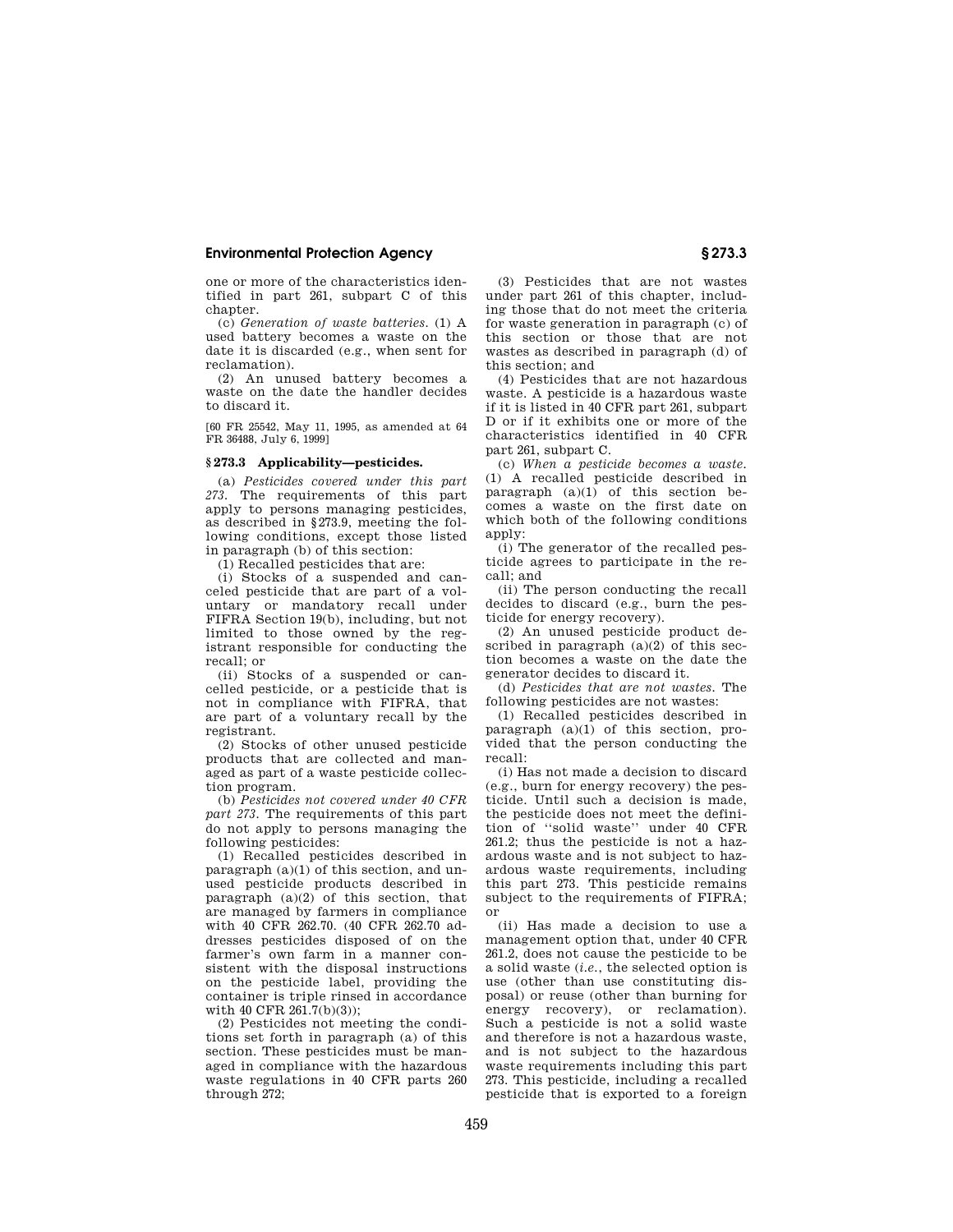one or more of the characteristics identified in part 261, subpart C of this chapter.

(c) *Generation of waste batteries.* (1) A used battery becomes a waste on the date it is discarded (e.g., when sent for reclamation).

(2) An unused battery becomes a waste on the date the handler decides to discard it.

[60 FR 25542, May 11, 1995, as amended at 64 FR 36488, July 6, 1999]

#### **§ 273.3 Applicability—pesticides.**

(a) *Pesticides covered under this part 273.* The requirements of this part apply to persons managing pesticides, as described in §273.9, meeting the following conditions, except those listed in paragraph (b) of this section:

(1) Recalled pesticides that are:

(i) Stocks of a suspended and canceled pesticide that are part of a voluntary or mandatory recall under FIFRA Section 19(b), including, but not limited to those owned by the registrant responsible for conducting the recall; or

(ii) Stocks of a suspended or cancelled pesticide, or a pesticide that is not in compliance with FIFRA, that are part of a voluntary recall by the registrant.

(2) Stocks of other unused pesticide products that are collected and managed as part of a waste pesticide collection program.

(b) *Pesticides not covered under 40 CFR part 273.* The requirements of this part do not apply to persons managing the following pesticides:

(1) Recalled pesticides described in paragraph (a)(1) of this section, and unused pesticide products described in paragraph (a)(2) of this section, that are managed by farmers in compliance with 40 CFR 262.70. (40 CFR 262.70 addresses pesticides disposed of on the farmer's own farm in a manner consistent with the disposal instructions on the pesticide label, providing the container is triple rinsed in accordance with 40 CFR 261.7(b)(3));

(2) Pesticides not meeting the conditions set forth in paragraph (a) of this section. These pesticides must be managed in compliance with the hazardous waste regulations in 40 CFR parts 260 through 272;

(3) Pesticides that are not wastes under part 261 of this chapter, including those that do not meet the criteria for waste generation in paragraph (c) of this section or those that are not wastes as described in paragraph (d) of this section; and

(4) Pesticides that are not hazardous waste. A pesticide is a hazardous waste if it is listed in 40 CFR part 261, subpart D or if it exhibits one or more of the characteristics identified in 40 CFR part 261, subpart C.

(c) *When a pesticide becomes a waste.*  (1) A recalled pesticide described in paragraph  $(a)(1)$  of this section becomes a waste on the first date on which both of the following conditions apply:

(i) The generator of the recalled pesticide agrees to participate in the recall; and

(ii) The person conducting the recall decides to discard (e.g., burn the pesticide for energy recovery).

(2) An unused pesticide product described in paragraph  $(a)(2)$  of this section becomes a waste on the date the generator decides to discard it.

(d) *Pesticides that are not wastes.* The following pesticides are not wastes:

(1) Recalled pesticides described in paragraph (a)(1) of this section, provided that the person conducting the recall:

(i) Has not made a decision to discard (e.g., burn for energy recovery) the pesticide. Until such a decision is made, the pesticide does not meet the definition of ''solid waste'' under 40 CFR 261.2; thus the pesticide is not a hazardous waste and is not subject to hazardous waste requirements, including this part 273. This pesticide remains subject to the requirements of FIFRA; or

(ii) Has made a decision to use a management option that, under 40 CFR 261.2, does not cause the pesticide to be a solid waste (*i.e.*, the selected option is use (other than use constituting disposal) or reuse (other than burning for energy recovery), or reclamation). Such a pesticide is not a solid waste and therefore is not a hazardous waste, and is not subject to the hazardous waste requirements including this part 273. This pesticide, including a recalled pesticide that is exported to a foreign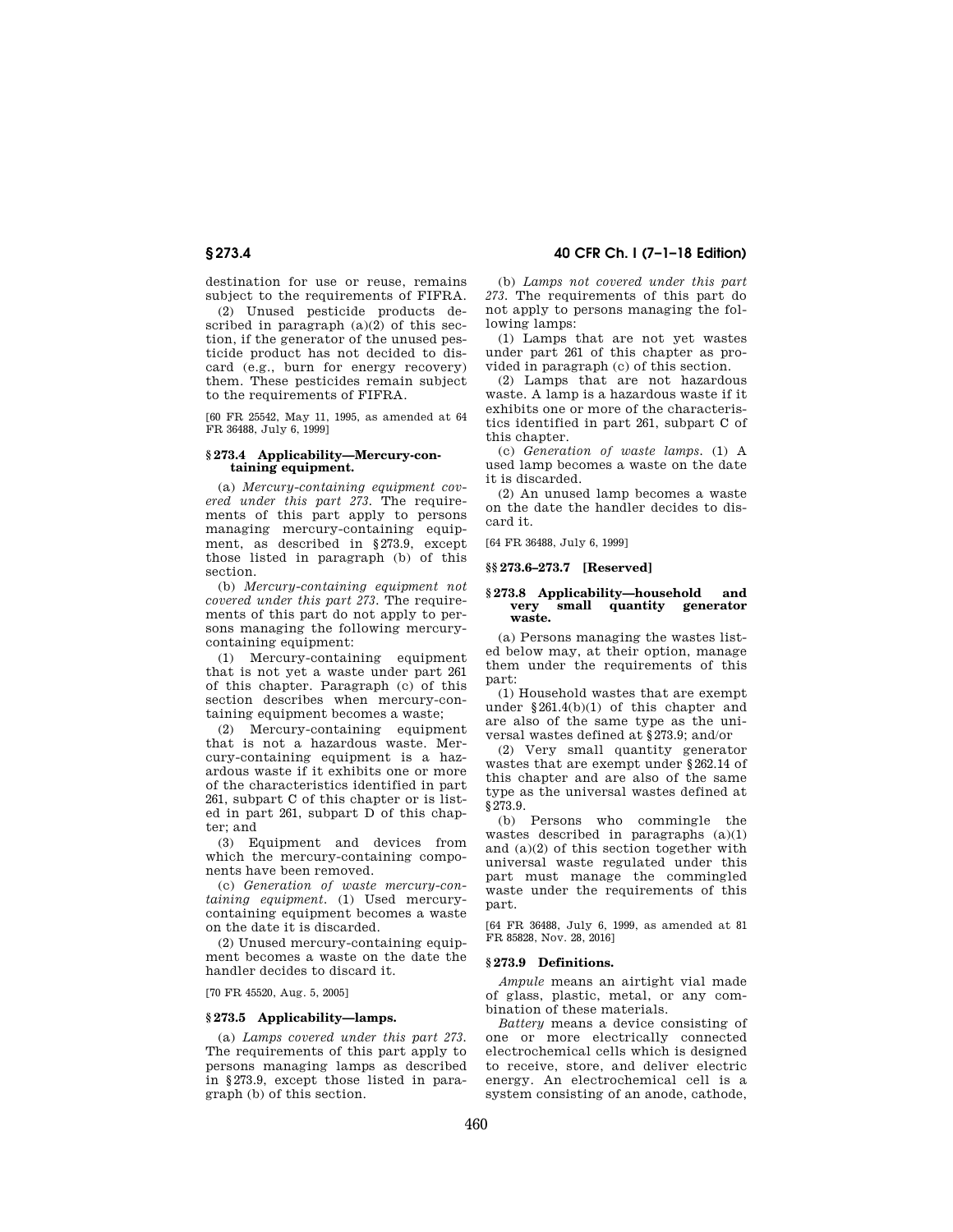destination for use or reuse, remains subject to the requirements of FIFRA.

(2) Unused pesticide products described in paragraph  $(a)(2)$  of this section, if the generator of the unused pesticide product has not decided to discard (e.g., burn for energy recovery) them. These pesticides remain subject to the requirements of FIFRA.

[60 FR 25542, May 11, 1995, as amended at 64 FR 36488, July 6, 1999]

#### **§ 273.4 Applicability—Mercury-containing equipment.**

(a) *Mercury-containing equipment covered under this part 273.* The requirements of this part apply to persons managing mercury-containing equipment, as described in §273.9, except those listed in paragraph (b) of this section.

(b) *Mercury-containing equipment not covered under this part 273.* The requirements of this part do not apply to persons managing the following mercurycontaining equipment:

(1) Mercury-containing equipment that is not yet a waste under part 261 of this chapter. Paragraph (c) of this section describes when mercury-containing equipment becomes a waste;

(2) Mercury-containing equipment that is not a hazardous waste. Mercury-containing equipment is a hazardous waste if it exhibits one or more of the characteristics identified in part 261, subpart C of this chapter or is listed in part 261, subpart D of this chapter; and

(3) Equipment and devices from which the mercury-containing components have been removed.

(c) *Generation of waste mercury-containing equipment.* (1) Used mercurycontaining equipment becomes a waste on the date it is discarded.

(2) Unused mercury-containing equipment becomes a waste on the date the handler decides to discard it.

[70 FR 45520, Aug. 5, 2005]

### **§ 273.5 Applicability—lamps.**

(a) *Lamps covered under this part 273.*  The requirements of this part apply to persons managing lamps as described in §273.9, except those listed in paragraph (b) of this section.

(b) *Lamps not covered under this part 273.* The requirements of this part do not apply to persons managing the following lamps:

(1) Lamps that are not yet wastes under part 261 of this chapter as provided in paragraph (c) of this section.

(2) Lamps that are not hazardous waste. A lamp is a hazardous waste if it exhibits one or more of the characteristics identified in part 261, subpart C of this chapter.

(c) *Generation of waste lamps.* (1) A used lamp becomes a waste on the date it is discarded.

(2) An unused lamp becomes a waste on the date the handler decides to discard it.

[64 FR 36488, July 6, 1999]

#### **§§ 273.6–273.7 [Reserved]**

#### **§ 273.8 Applicability—household and very small quantity generator waste.**

(a) Persons managing the wastes listed below may, at their option, manage them under the requirements of this part:

(1) Household wastes that are exempt under §261.4(b)(1) of this chapter and are also of the same type as the universal wastes defined at §273.9; and/or

(2) Very small quantity generator wastes that are exempt under §262.14 of this chapter and are also of the same type as the universal wastes defined at §273.9.

(b) Persons who commingle the wastes described in paragraphs (a)(1) and (a)(2) of this section together with universal waste regulated under this part must manage the commingled waste under the requirements of this part.

[64 FR 36488, July 6, 1999, as amended at 81 FR 85828, Nov. 28, 2016]

#### **§ 273.9 Definitions.**

*Ampule* means an airtight vial made of glass, plastic, metal, or any combination of these materials.

*Battery* means a device consisting of one or more electrically connected electrochemical cells which is designed to receive, store, and deliver electric energy. An electrochemical cell is a system consisting of an anode, cathode,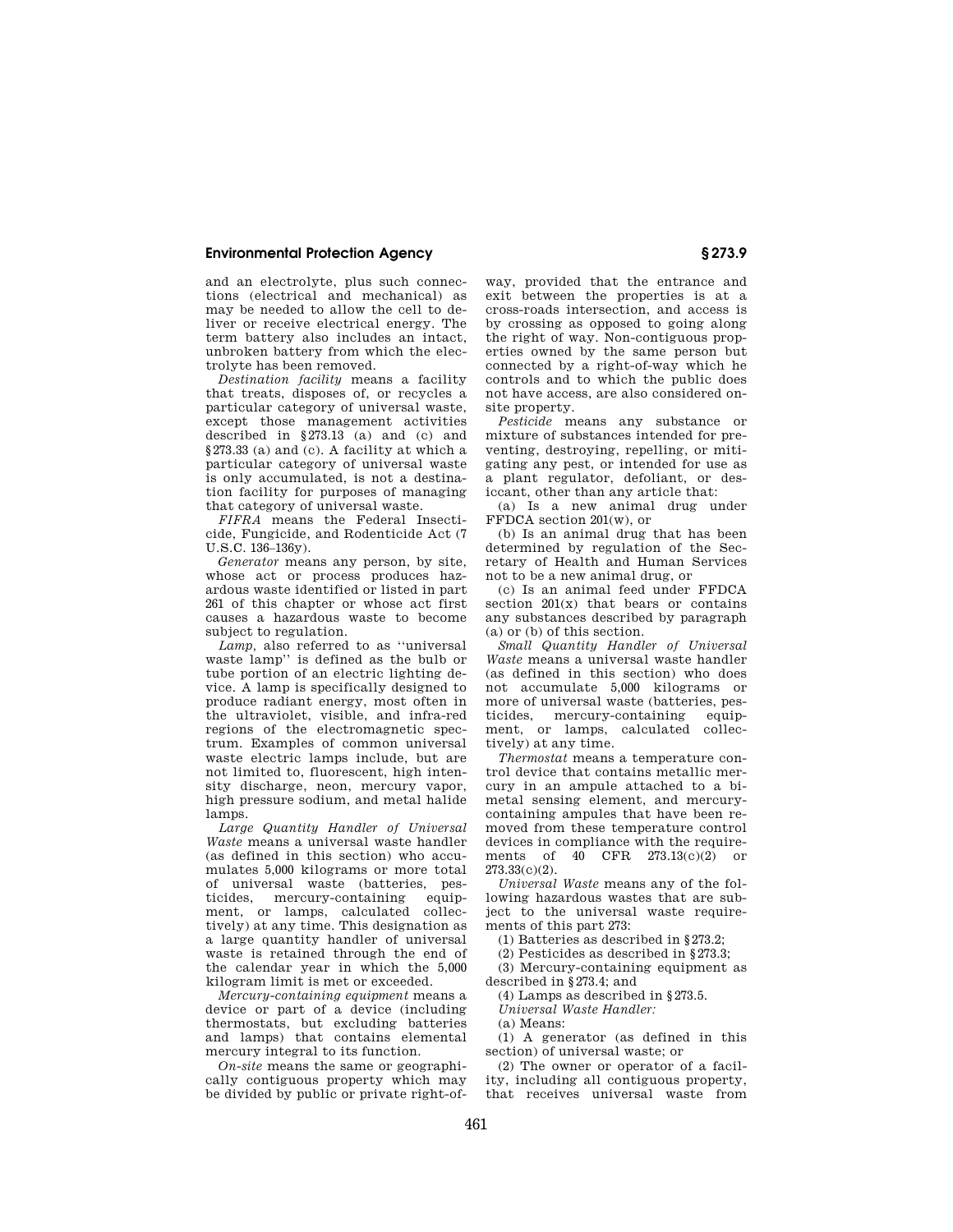and an electrolyte, plus such connections (electrical and mechanical) as may be needed to allow the cell to deliver or receive electrical energy. The term battery also includes an intact, unbroken battery from which the electrolyte has been removed.

*Destination facility* means a facility that treats, disposes of, or recycles a particular category of universal waste, except those management activities described in  $$273.13$  (a) and (c) and §273.33 (a) and (c). A facility at which a particular category of universal waste is only accumulated, is not a destination facility for purposes of managing that category of universal waste.

*FIFRA* means the Federal Insecticide, Fungicide, and Rodenticide Act (7  $U.S. C. 136–136v.$ 

*Generator* means any person, by site, whose act or process produces hazardous waste identified or listed in part 261 of this chapter or whose act first causes a hazardous waste to become subject to regulation.

*Lamp,* also referred to as ''universal waste lamp'' is defined as the bulb or tube portion of an electric lighting device. A lamp is specifically designed to produce radiant energy, most often in the ultraviolet, visible, and infra-red regions of the electromagnetic spectrum. Examples of common universal waste electric lamps include, but are not limited to, fluorescent, high intensity discharge, neon, mercury vapor, high pressure sodium, and metal halide lamps.

*Large Quantity Handler of Universal Waste* means a universal waste handler (as defined in this section) who accumulates 5,000 kilograms or more total of universal waste (batteries, pesticides, mercury-containing equipment, or lamps, calculated collectively) at any time. This designation as a large quantity handler of universal waste is retained through the end of the calendar year in which the 5,000 kilogram limit is met or exceeded.

*Mercury-containing equipment* means a device or part of a device (including thermostats, but excluding batteries and lamps) that contains elemental mercury integral to its function.

*On-site* means the same or geographically contiguous property which may be divided by public or private right-of-

way, provided that the entrance and exit between the properties is at a cross-roads intersection, and access is by crossing as opposed to going along the right of way. Non-contiguous properties owned by the same person but connected by a right-of-way which he controls and to which the public does not have access, are also considered onsite property.

*Pesticide* means any substance or mixture of substances intended for preventing, destroying, repelling, or mitigating any pest, or intended for use as a plant regulator, defoliant, or desiccant, other than any article that:

(a) Is a new animal drug under FFDCA section 201(w), or

(b) Is an animal drug that has been determined by regulation of the Secretary of Health and Human Services not to be a new animal drug, or

(c) Is an animal feed under FFDCA section  $201(x)$  that bears or contains any substances described by paragraph (a) or (b) of this section.

*Small Quantity Handler of Universal Waste* means a universal waste handler (as defined in this section) who does not accumulate 5,000 kilograms or more of universal waste (batteries, pes-<br>ticides mercury-containing equipticides, mercury-containing ment, or lamps, calculated collectively) at any time.

*Thermostat* means a temperature control device that contains metallic mercury in an ampule attached to a bimetal sensing element, and mercurycontaining ampules that have been removed from these temperature control devices in compliance with the requirements of  $40$  CFR  $273.13(c)(2)$  or 273.33(c)(2).

*Universal Waste* means any of the following hazardous wastes that are subject to the universal waste requirements of this part 273:

(1) Batteries as described in §273.2;

(2) Pesticides as described in §273.3;

(3) Mercury-containing equipment as described in §273.4; and

(4) Lamps as described in §273.5.

*Universal Waste Handler:*  (a) Means:

(1) A generator (as defined in this section) of universal waste; or

(2) The owner or operator of a facility, including all contiguous property, that receives universal waste from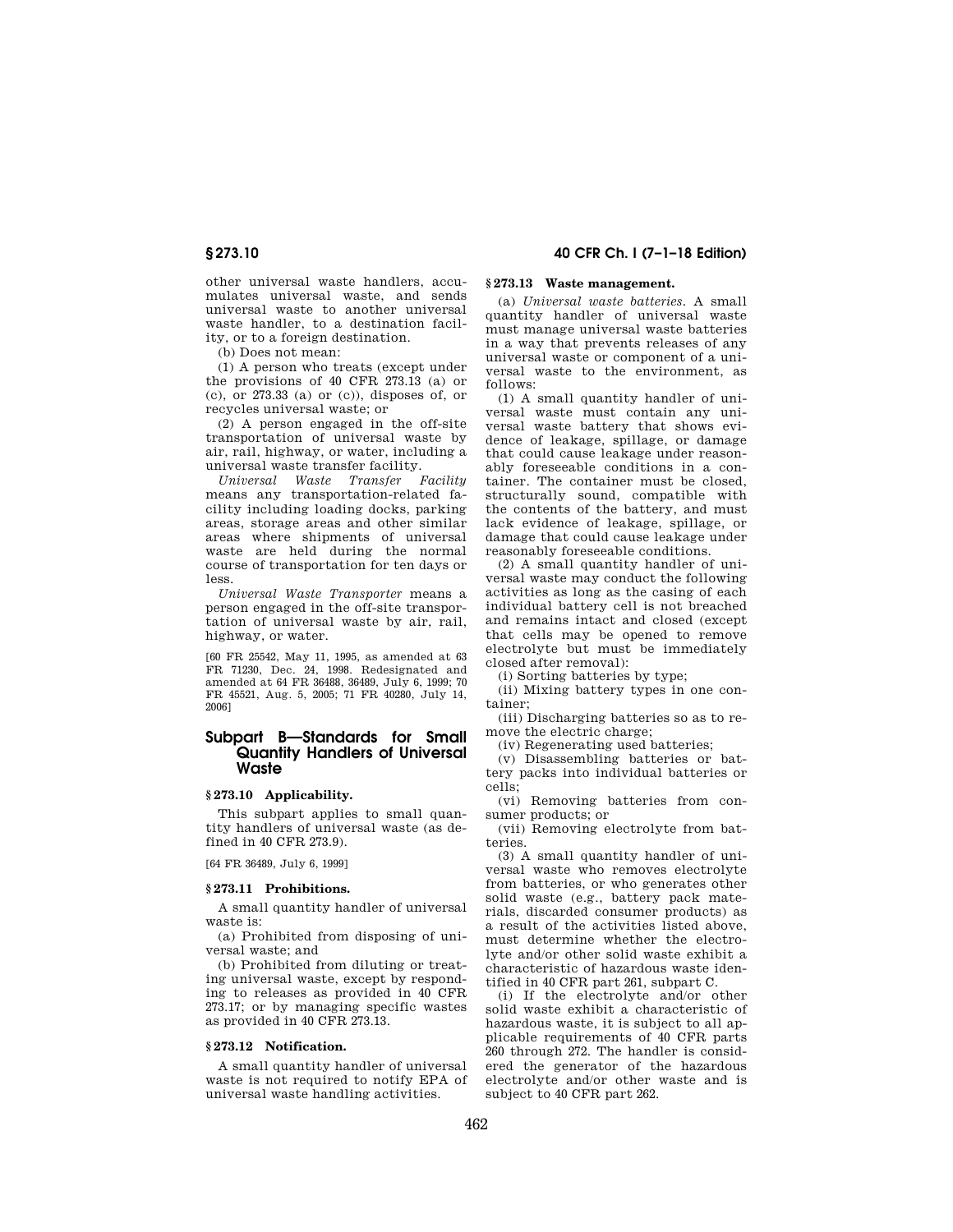other universal waste handlers, accumulates universal waste, and sends universal waste to another universal waste handler, to a destination facility, or to a foreign destination.

(b) Does not mean:

(1) A person who treats (except under the provisions of 40 CFR 273.13 (a) or (c), or 273.33 (a) or (c)), disposes of, or recycles universal waste; or

(2) A person engaged in the off-site transportation of universal waste by air, rail, highway, or water, including a universal waste transfer facility.

*Universal Waste Transfer Facility*  means any transportation-related facility including loading docks, parking areas, storage areas and other similar areas where shipments of universal waste are held during the normal course of transportation for ten days or less.

*Universal Waste Transporter* means a person engaged in the off-site transportation of universal waste by air, rail, highway, or water.

[60 FR 25542, May 11, 1995, as amended at 63 FR 71230, Dec. 24, 1998. Redesignated and amended at 64 FR 36488, 36489, July 6, 1999; 70 FR 45521, Aug. 5, 2005; 71 FR 40280, July 14, 2006]

# **Subpart B—Standards for Small Quantity Handlers of Universal Waste**

## **§ 273.10 Applicability.**

This subpart applies to small quantity handlers of universal waste (as defined in 40 CFR 273.9).

[64 FR 36489, July 6, 1999]

#### **§ 273.11 Prohibitions.**

A small quantity handler of universal waste is:

(a) Prohibited from disposing of universal waste; and

(b) Prohibited from diluting or treating universal waste, except by responding to releases as provided in 40 CFR 273.17; or by managing specific wastes as provided in 40 CFR 273.13.

## **§ 273.12 Notification.**

A small quantity handler of universal waste is not required to notify EPA of universal waste handling activities.

# **§ 273.10 40 CFR Ch. I (7–1–18 Edition)**

# **§ 273.13 Waste management.**

(a) *Universal waste batteries.* A small quantity handler of universal waste must manage universal waste batteries in a way that prevents releases of any universal waste or component of a universal waste to the environment, as follows:

(1) A small quantity handler of universal waste must contain any universal waste battery that shows evidence of leakage, spillage, or damage that could cause leakage under reasonably foreseeable conditions in a container. The container must be closed, structurally sound, compatible with the contents of the battery, and must lack evidence of leakage, spillage, or damage that could cause leakage under reasonably foreseeable conditions.

(2) A small quantity handler of universal waste may conduct the following activities as long as the casing of each individual battery cell is not breached and remains intact and closed (except that cells may be opened to remove electrolyte but must be immediately closed after removal):

(i) Sorting batteries by type;

(ii) Mixing battery types in one container;

(iii) Discharging batteries so as to remove the electric charge;

(iv) Regenerating used batteries;

(v) Disassembling batteries or battery packs into individual batteries or cells;

(vi) Removing batteries from consumer products; or

(vii) Removing electrolyte from batteries.

(3) A small quantity handler of universal waste who removes electrolyte from batteries, or who generates other solid waste (e.g., battery pack materials, discarded consumer products) as a result of the activities listed above, must determine whether the electrolyte and/or other solid waste exhibit a characteristic of hazardous waste identified in 40 CFR part 261, subpart C.

(i) If the electrolyte and/or other solid waste exhibit a characteristic of hazardous waste, it is subject to all applicable requirements of 40 CFR parts 260 through 272. The handler is considered the generator of the hazardous electrolyte and/or other waste and is subject to 40 CFR part 262.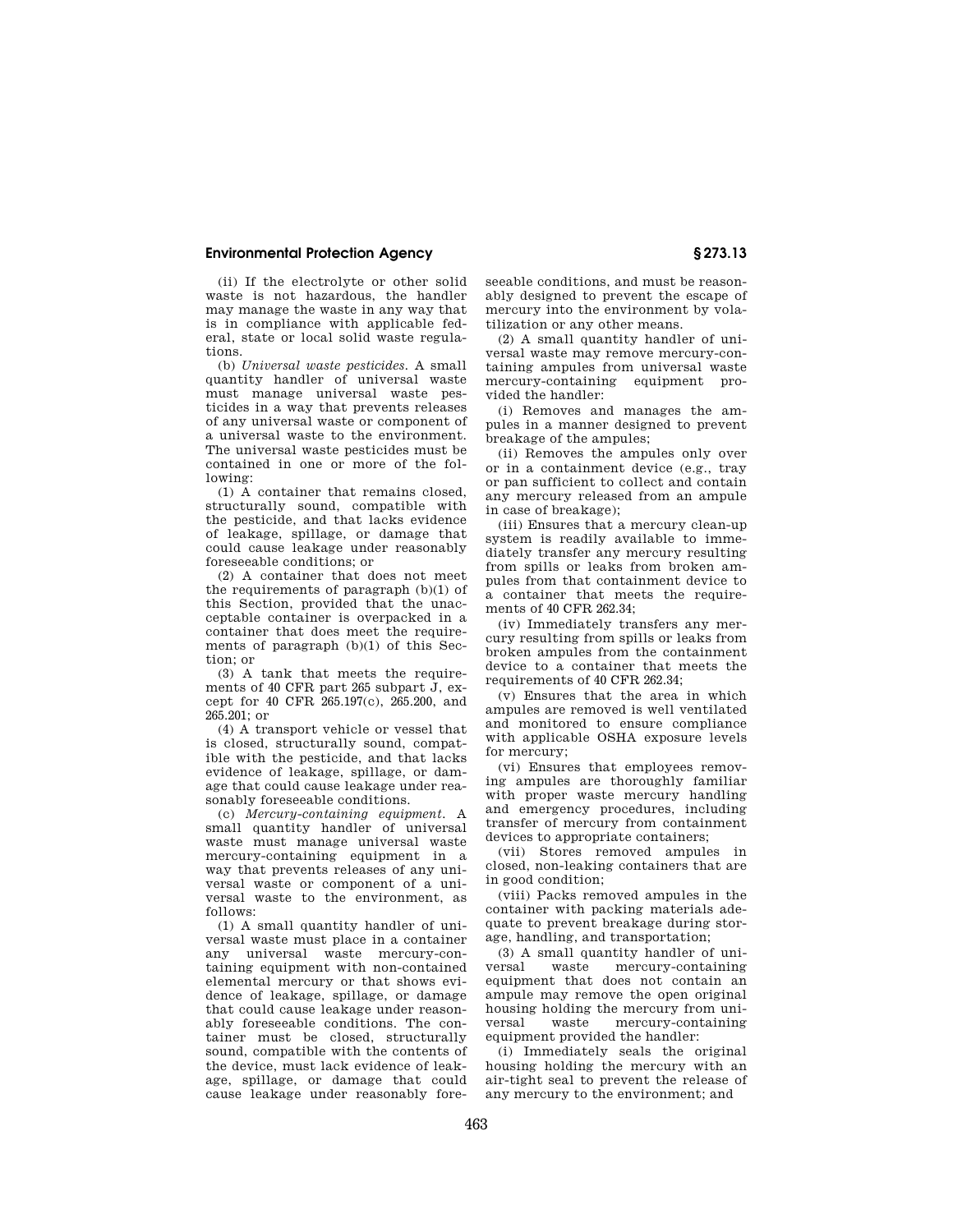(ii) If the electrolyte or other solid waste is not hazardous, the handler may manage the waste in any way that is in compliance with applicable federal, state or local solid waste regulations.

(b) *Universal waste pesticides.* A small quantity handler of universal waste must manage universal waste pesticides in a way that prevents releases of any universal waste or component of a universal waste to the environment. The universal waste pesticides must be contained in one or more of the following:

(1) A container that remains closed, structurally sound, compatible with the pesticide, and that lacks evidence of leakage, spillage, or damage that could cause leakage under reasonably foreseeable conditions; or

(2) A container that does not meet the requirements of paragraph (b)(1) of this Section, provided that the unacceptable container is overpacked in a container that does meet the requirements of paragraph (b)(1) of this Section; or

(3) A tank that meets the requirements of 40 CFR part 265 subpart J, except for 40 CFR 265.197(c), 265.200, and 265.201; or

(4) A transport vehicle or vessel that is closed, structurally sound, compatible with the pesticide, and that lacks evidence of leakage, spillage, or damage that could cause leakage under reasonably foreseeable conditions.

(c) *Mercury-containing equipment.* A small quantity handler of universal waste must manage universal waste mercury-containing equipment in a way that prevents releases of any universal waste or component of a universal waste to the environment, as follows:

(1) A small quantity handler of universal waste must place in a container any universal waste mercury-containing equipment with non-contained elemental mercury or that shows evidence of leakage, spillage, or damage that could cause leakage under reasonably foreseeable conditions. The container must be closed, structurally sound, compatible with the contents of the device, must lack evidence of leakage, spillage, or damage that could cause leakage under reasonably foreseeable conditions, and must be reasonably designed to prevent the escape of mercury into the environment by volatilization or any other means.

(2) A small quantity handler of universal waste may remove mercury-containing ampules from universal waste mercury-containing equipment provided the handler:

(i) Removes and manages the ampules in a manner designed to prevent breakage of the ampules;

(ii) Removes the ampules only over or in a containment device (e.g., tray or pan sufficient to collect and contain any mercury released from an ampule in case of breakage);

(iii) Ensures that a mercury clean-up system is readily available to immediately transfer any mercury resulting from spills or leaks from broken ampules from that containment device to a container that meets the requirements of 40 CFR 262.34;

(iv) Immediately transfers any mercury resulting from spills or leaks from broken ampules from the containment device to a container that meets the requirements of 40 CFR 262.34;

(v) Ensures that the area in which ampules are removed is well ventilated and monitored to ensure compliance with applicable OSHA exposure levels for mercury;

(vi) Ensures that employees removing ampules are thoroughly familiar with proper waste mercury handling and emergency procedures, including transfer of mercury from containment devices to appropriate containers;

(vii) Stores removed ampules in closed, non-leaking containers that are in good condition;

(viii) Packs removed ampules in the container with packing materials adequate to prevent breakage during storage, handling, and transportation;

(3) A small quantity handler of uni-<br>
yersal waste mercury-containing mercury-containing equipment that does not contain an ampule may remove the open original housing holding the mercury from universal waste mercury-containing equipment provided the handler:

(i) Immediately seals the original housing holding the mercury with an air-tight seal to prevent the release of any mercury to the environment; and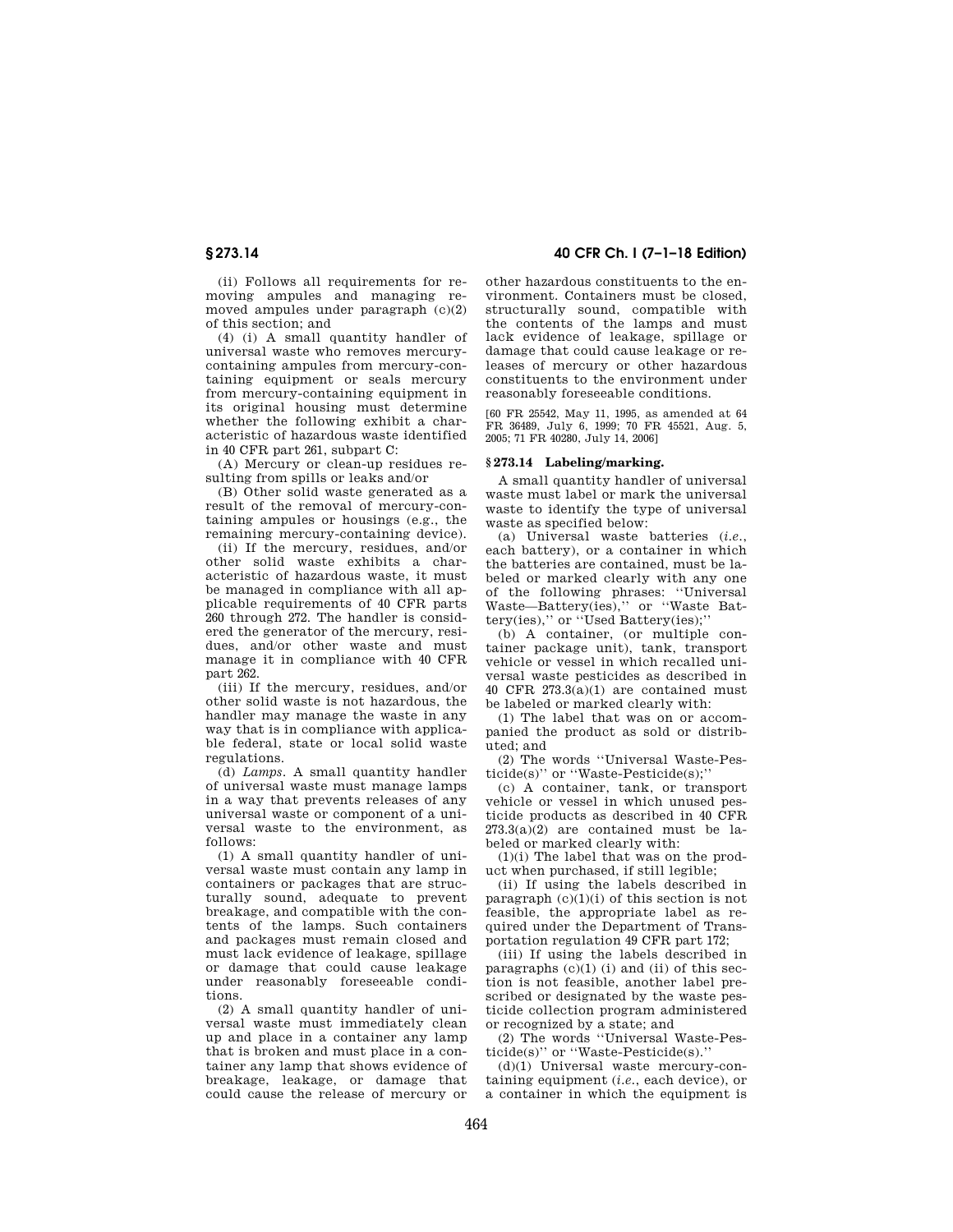(ii) Follows all requirements for removing ampules and managing removed ampules under paragraph (c)(2) of this section; and

(4) (i) A small quantity handler of universal waste who removes mercurycontaining ampules from mercury-containing equipment or seals mercury from mercury-containing equipment in its original housing must determine whether the following exhibit a characteristic of hazardous waste identified in 40 CFR part 261, subpart C:

(A) Mercury or clean-up residues resulting from spills or leaks and/or

(B) Other solid waste generated as a result of the removal of mercury-containing ampules or housings (e.g., the remaining mercury-containing device).

(ii) If the mercury, residues, and/or other solid waste exhibits a characteristic of hazardous waste, it must be managed in compliance with all applicable requirements of 40 CFR parts 260 through 272. The handler is considered the generator of the mercury, residues, and/or other waste and must manage it in compliance with 40 CFR part 262.

(iii) If the mercury, residues, and/or other solid waste is not hazardous, the handler may manage the waste in any way that is in compliance with applicable federal, state or local solid waste regulations.

(d) *Lamps.* A small quantity handler of universal waste must manage lamps in a way that prevents releases of any universal waste or component of a universal waste to the environment, as follows:

(1) A small quantity handler of universal waste must contain any lamp in containers or packages that are structurally sound, adequate to prevent breakage, and compatible with the contents of the lamps. Such containers and packages must remain closed and must lack evidence of leakage, spillage or damage that could cause leakage under reasonably foreseeable conditions.

(2) A small quantity handler of universal waste must immediately clean up and place in a container any lamp that is broken and must place in a container any lamp that shows evidence of breakage, leakage, or damage that could cause the release of mercury or

# **§ 273.14 40 CFR Ch. I (7–1–18 Edition)**

other hazardous constituents to the environment. Containers must be closed, structurally sound, compatible with the contents of the lamps and must lack evidence of leakage, spillage or damage that could cause leakage or releases of mercury or other hazardous constituents to the environment under reasonably foreseeable conditions.

[60 FR 25542, May 11, 1995, as amended at 64 FR 36489, July 6, 1999; 70 FR 45521, Aug. 5, 2005; 71 FR 40280, July 14, 2006]

#### **§ 273.14 Labeling/marking.**

A small quantity handler of universal waste must label or mark the universal waste to identify the type of universal waste as specified below:

(a) Universal waste batteries (*i.e.*, each battery), or a container in which the batteries are contained, must be labeled or marked clearly with any one of the following phrases: ''Universal Waste—Battery(ies),'' or ''Waste Battery(ies),'' or ''Used Battery(ies);''

(b) A container, (or multiple container package unit), tank, transport vehicle or vessel in which recalled universal waste pesticides as described in 40 CFR  $273.3(a)(1)$  are contained must be labeled or marked clearly with:

(1) The label that was on or accompanied the product as sold or distributed; and

(2) The words ''Universal Waste-Pesticide(s)'' or ''Waste-Pesticide(s);''

(c) A container, tank, or transport vehicle or vessel in which unused pesticide products as described in 40 CFR  $273.3(a)(2)$  are contained must be labeled or marked clearly with:

(1)(i) The label that was on the product when purchased, if still legible;

(ii) If using the labels described in paragraph  $(c)(1)(i)$  of this section is not feasible, the appropriate label as required under the Department of Transportation regulation 49 CFR part 172;

(iii) If using the labels described in paragraphs  $(c)(1)$  (i) and (ii) of this section is not feasible, another label prescribed or designated by the waste pesticide collection program administered or recognized by a state; and

(2) The words ''Universal Waste-Pesticide(s)'' or ''Waste-Pesticide(s).''

(d)(1) Universal waste mercury-containing equipment (*i.e.*, each device), or a container in which the equipment is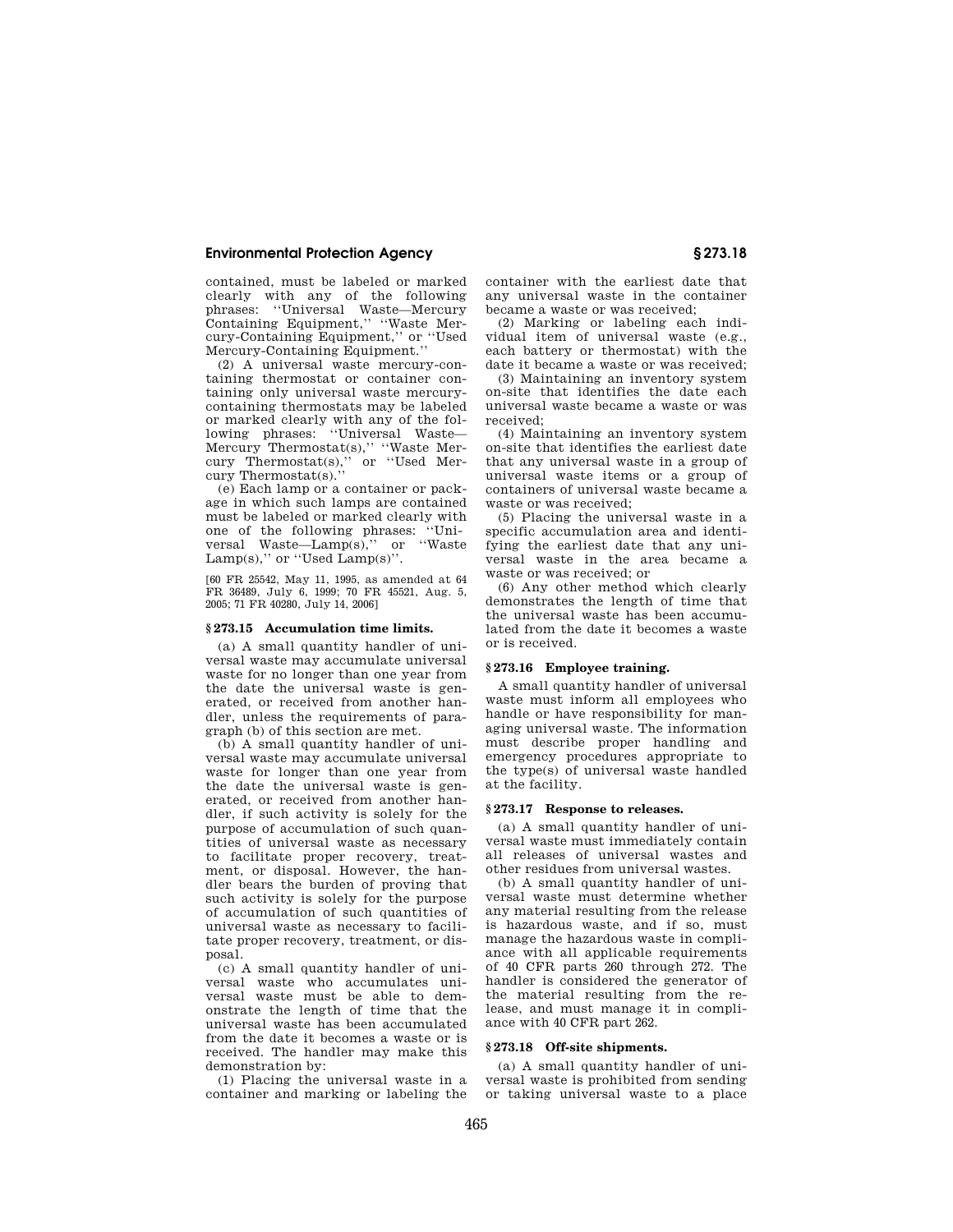contained, must be labeled or marked clearly with any of the following phrases: ''Universal Waste—Mercury Containing Equipment,'' ''Waste Mercury-Containing Equipment,'' or ''Used Mercury-Containing Equipment.''

(2) A universal waste mercury-containing thermostat or container containing only universal waste mercurycontaining thermostats may be labeled or marked clearly with any of the following phrases: ''Universal Waste— Mercury Thermostat(s)," "Waste Mer-<br>cury Thermostat(s)," or "Used Mercury Thermostat(s),'' or ''Used Mercury Thermostat(s).''

(e) Each lamp or a container or package in which such lamps are contained must be labeled or marked clearly with<br>one of the following phrases: "Unione of the following phrases: versal Waste—Lamp(s),'' or ''Waste Lamp(s)," or "Used  $Lamp(s)$ ".

[60 FR 25542, May 11, 1995, as amended at 64 FR 36489, July 6, 1999; 70 FR 45521, Aug. 5, 2005; 71 FR 40280, July 14, 2006]

#### **§ 273.15 Accumulation time limits.**

(a) A small quantity handler of universal waste may accumulate universal waste for no longer than one year from the date the universal waste is generated, or received from another handler, unless the requirements of paragraph (b) of this section are met.

(b) A small quantity handler of universal waste may accumulate universal waste for longer than one year from the date the universal waste is generated, or received from another handler, if such activity is solely for the purpose of accumulation of such quantities of universal waste as necessary to facilitate proper recovery, treatment, or disposal. However, the handler bears the burden of proving that such activity is solely for the purpose of accumulation of such quantities of universal waste as necessary to facilitate proper recovery, treatment, or disposal.

(c) A small quantity handler of universal waste who accumulates universal waste must be able to demonstrate the length of time that the universal waste has been accumulated from the date it becomes a waste or is received. The handler may make this demonstration by:

(1) Placing the universal waste in a container and marking or labeling the container with the earliest date that any universal waste in the container became a waste or was received;

(2) Marking or labeling each individual item of universal waste (e.g., each battery or thermostat) with the date it became a waste or was received;

(3) Maintaining an inventory system on-site that identifies the date each universal waste became a waste or was received;

(4) Maintaining an inventory system on-site that identifies the earliest date that any universal waste in a group of universal waste items or a group of containers of universal waste became a waste or was received;

(5) Placing the universal waste in a specific accumulation area and identifying the earliest date that any universal waste in the area became a waste or was received; or

(6) Any other method which clearly demonstrates the length of time that the universal waste has been accumulated from the date it becomes a waste or is received.

#### **§ 273.16 Employee training.**

A small quantity handler of universal waste must inform all employees who handle or have responsibility for managing universal waste. The information must describe proper handling and emergency procedures appropriate to the type(s) of universal waste handled at the facility.

#### **§ 273.17 Response to releases.**

(a) A small quantity handler of universal waste must immediately contain all releases of universal wastes and other residues from universal wastes.

(b) A small quantity handler of universal waste must determine whether any material resulting from the release is hazardous waste, and if so, must manage the hazardous waste in compliance with all applicable requirements of 40 CFR parts 260 through 272. The handler is considered the generator of the material resulting from the release, and must manage it in compliance with 40 CFR part 262.

## **§ 273.18 Off-site shipments.**

(a) A small quantity handler of universal waste is prohibited from sending or taking universal waste to a place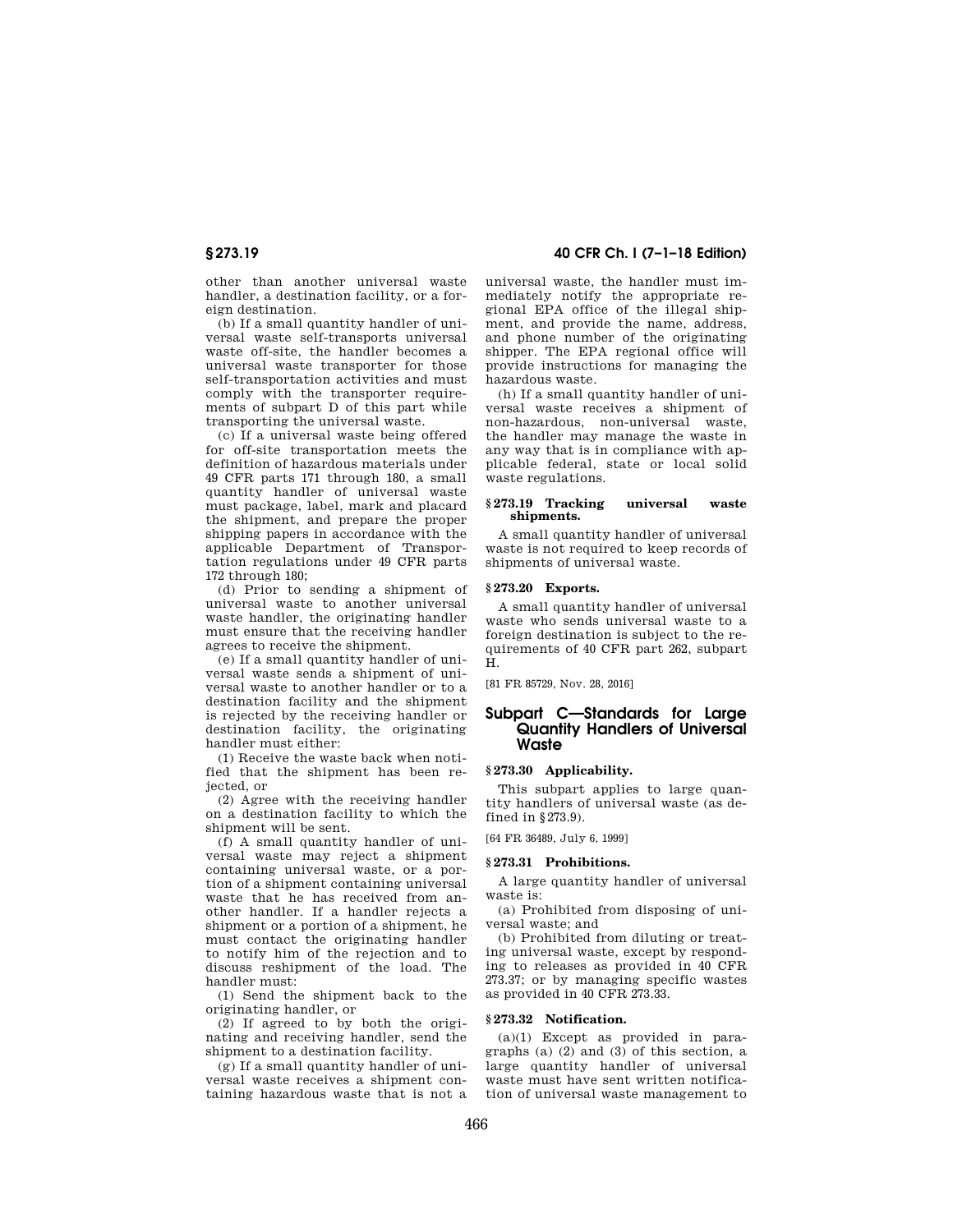other than another universal waste handler, a destination facility, or a foreign destination.

(b) If a small quantity handler of universal waste self-transports universal waste off-site, the handler becomes a universal waste transporter for those self-transportation activities and must comply with the transporter requirements of subpart D of this part while transporting the universal waste.

(c) If a universal waste being offered for off-site transportation meets the definition of hazardous materials under 49 CFR parts 171 through 180, a small quantity handler of universal waste must package, label, mark and placard the shipment, and prepare the proper shipping papers in accordance with the applicable Department of Transportation regulations under 49 CFR parts 172 through 180;

(d) Prior to sending a shipment of universal waste to another universal waste handler, the originating handler must ensure that the receiving handler agrees to receive the shipment.

(e) If a small quantity handler of universal waste sends a shipment of universal waste to another handler or to a destination facility and the shipment is rejected by the receiving handler or destination facility, the originating handler must either:

(1) Receive the waste back when notified that the shipment has been rejected, or

(2) Agree with the receiving handler on a destination facility to which the shipment will be sent.

(f) A small quantity handler of universal waste may reject a shipment containing universal waste, or a portion of a shipment containing universal waste that he has received from another handler. If a handler rejects a shipment or a portion of a shipment, he must contact the originating handler to notify him of the rejection and to discuss reshipment of the load. The handler must:

(1) Send the shipment back to the originating handler, or

(2) If agreed to by both the originating and receiving handler, send the shipment to a destination facility.

(g) If a small quantity handler of universal waste receives a shipment containing hazardous waste that is not a

**§ 273.19 40 CFR Ch. I (7–1–18 Edition)** 

universal waste, the handler must immediately notify the appropriate regional EPA office of the illegal shipment, and provide the name, address, and phone number of the originating shipper. The EPA regional office will provide instructions for managing the hazardous waste.

(h) If a small quantity handler of universal waste receives a shipment of non-hazardous, non-universal waste, the handler may manage the waste in any way that is in compliance with applicable federal, state or local solid waste regulations.

# **§ 273.19 Tracking universal waste shipments.**

A small quantity handler of universal waste is not required to keep records of shipments of universal waste.

## **§ 273.20 Exports.**

A small quantity handler of universal waste who sends universal waste to a foreign destination is subject to the requirements of 40 CFR part 262, subpart H.

[81 FR 85729, Nov. 28, 2016]

# **Subpart C—Standards for Large Quantity Handlers of Universal Waste**

#### **§ 273.30 Applicability.**

This subpart applies to large quantity handlers of universal waste (as defined in §273.9).

[64 FR 36489, July 6, 1999]

#### **§ 273.31 Prohibitions.**

A large quantity handler of universal waste is:

(a) Prohibited from disposing of universal waste; and

(b) Prohibited from diluting or treating universal waste, except by responding to releases as provided in 40 CFR 273.37; or by managing specific wastes as provided in 40 CFR 273.33.

### **§ 273.32 Notification.**

(a)(1) Except as provided in paragraphs (a)  $(2)$  and  $(3)$  of this section, a large quantity handler of universal waste must have sent written notification of universal waste management to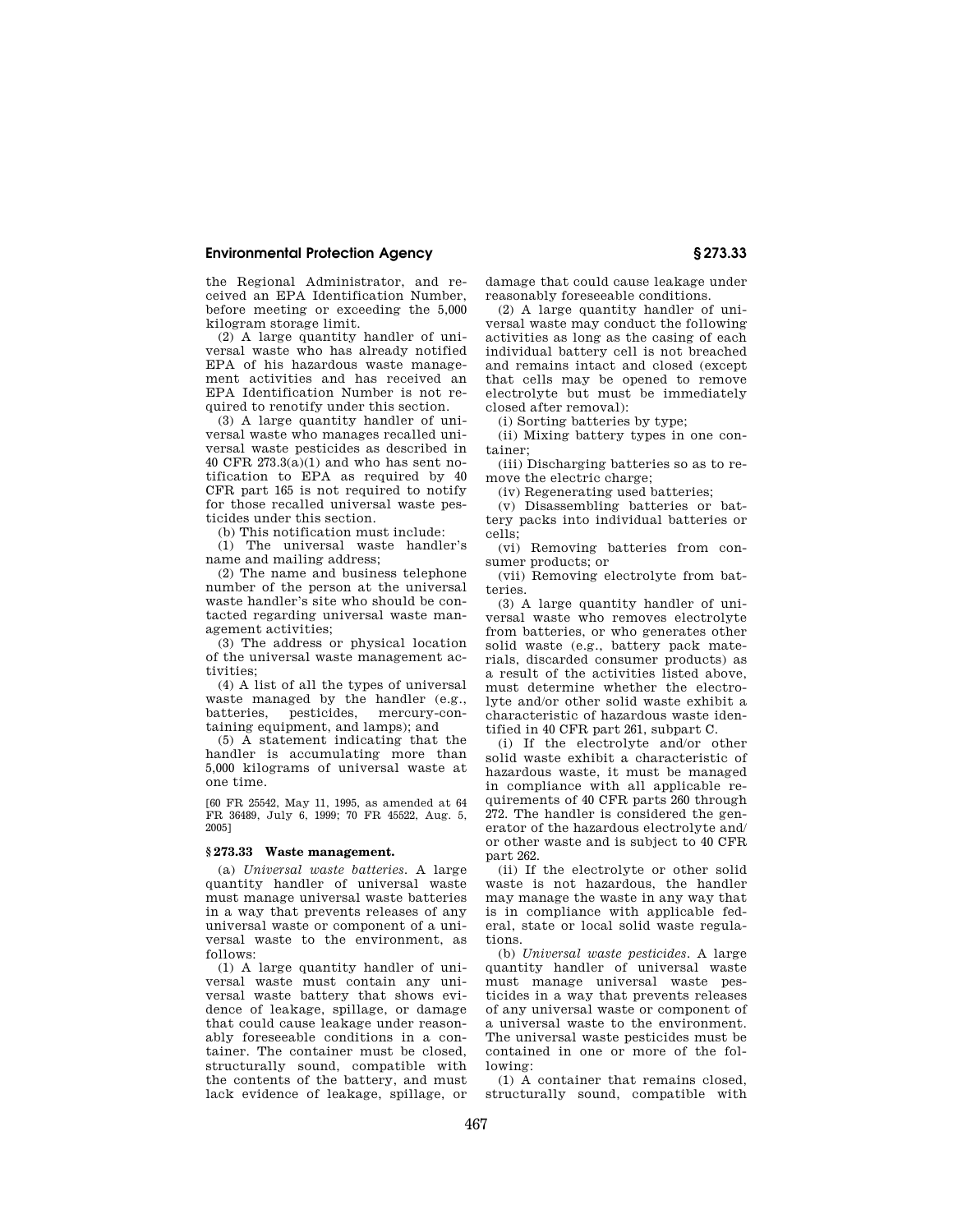the Regional Administrator, and received an EPA Identification Number, before meeting or exceeding the 5,000 kilogram storage limit.

(2) A large quantity handler of universal waste who has already notified EPA of his hazardous waste management activities and has received an EPA Identification Number is not required to renotify under this section.

(3) A large quantity handler of universal waste who manages recalled universal waste pesticides as described in 40 CFR 273.3(a)(1) and who has sent notification to EPA as required by 40 CFR part 165 is not required to notify for those recalled universal waste pesticides under this section.

(b) This notification must include:

(1) The universal waste handler's name and mailing address;

(2) The name and business telephone number of the person at the universal waste handler's site who should be contacted regarding universal waste management activities;

(3) The address or physical location of the universal waste management activities;

(4) A list of all the types of universal waste managed by the handler (e.g., batteries, pesticides, mercury-containing equipment, and lamps); and

(5) A statement indicating that the handler is accumulating more than 5,000 kilograms of universal waste at one time.

[60 FR 25542, May 11, 1995, as amended at 64 FR 36489, July 6, 1999; 70 FR 45522, Aug. 5, 2005]

# **§ 273.33 Waste management.**

(a) *Universal waste batteries.* A large quantity handler of universal waste must manage universal waste batteries in a way that prevents releases of any universal waste or component of a universal waste to the environment, as follows:

(1) A large quantity handler of universal waste must contain any universal waste battery that shows evidence of leakage, spillage, or damage that could cause leakage under reasonably foreseeable conditions in a container. The container must be closed, structurally sound, compatible with the contents of the battery, and must lack evidence of leakage, spillage, or damage that could cause leakage under reasonably foreseeable conditions.

(2) A large quantity handler of universal waste may conduct the following activities as long as the casing of each individual battery cell is not breached and remains intact and closed (except that cells may be opened to remove electrolyte but must be immediately closed after removal):

(i) Sorting batteries by type;

(ii) Mixing battery types in one container;

(iii) Discharging batteries so as to remove the electric charge:

(iv) Regenerating used batteries;

(v) Disassembling batteries or battery packs into individual batteries or cells;

(vi) Removing batteries from consumer products; or

(vii) Removing electrolyte from batteries.

(3) A large quantity handler of universal waste who removes electrolyte from batteries, or who generates other solid waste (e.g., battery pack materials, discarded consumer products) as a result of the activities listed above, must determine whether the electrolyte and/or other solid waste exhibit a characteristic of hazardous waste identified in 40 CFR part 261, subpart C.

(i) If the electrolyte and/or other solid waste exhibit a characteristic of hazardous waste, it must be managed in compliance with all applicable requirements of 40 CFR parts 260 through 272. The handler is considered the generator of the hazardous electrolyte and/ or other waste and is subject to 40 CFR part 262.

(ii) If the electrolyte or other solid waste is not hazardous, the handler may manage the waste in any way that is in compliance with applicable federal, state or local solid waste regulations.

(b) *Universal waste pesticides.* A large quantity handler of universal waste must manage universal waste pesticides in a way that prevents releases of any universal waste or component of a universal waste to the environment. The universal waste pesticides must be contained in one or more of the following:

(1) A container that remains closed, structurally sound, compatible with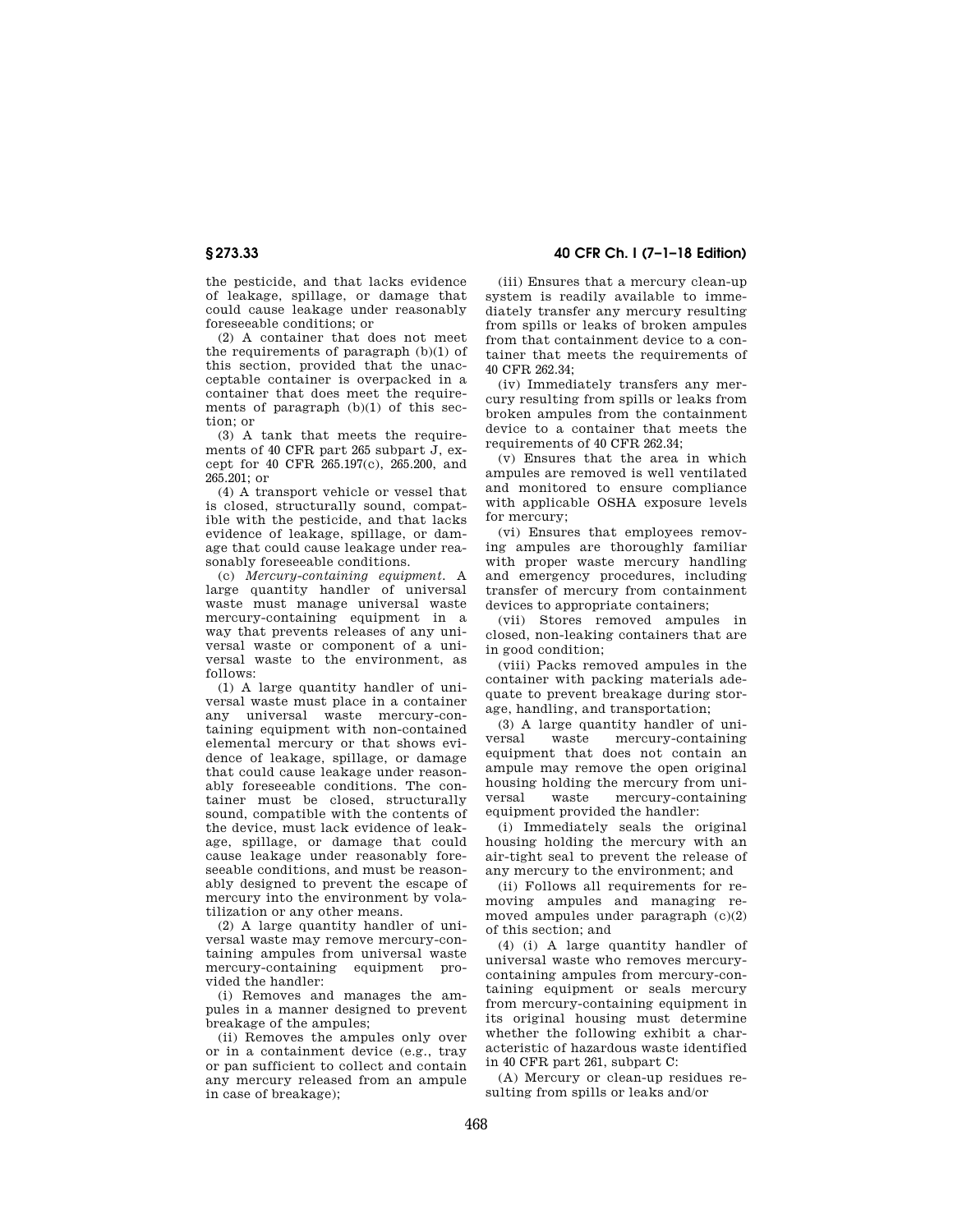the pesticide, and that lacks evidence of leakage, spillage, or damage that could cause leakage under reasonably foreseeable conditions; or

(2) A container that does not meet the requirements of paragraph (b)(1) of this section, provided that the unacceptable container is overpacked in a container that does meet the requirements of paragraph  $(b)(1)$  of this section; or

(3) A tank that meets the requirements of 40 CFR part 265 subpart J, except for 40 CFR 265.197(c), 265.200, and  $265.201$ ; or

(4) A transport vehicle or vessel that is closed, structurally sound, compatible with the pesticide, and that lacks evidence of leakage, spillage, or damage that could cause leakage under reasonably foreseeable conditions.

(c) *Mercury-containing equipment.* A large quantity handler of universal waste must manage universal waste mercury-containing equipment in a way that prevents releases of any universal waste or component of a universal waste to the environment, as follows:

(1) A large quantity handler of universal waste must place in a container any universal waste mercury-containing equipment with non-contained elemental mercury or that shows evidence of leakage, spillage, or damage that could cause leakage under reasonably foreseeable conditions. The container must be closed, structurally sound, compatible with the contents of the device, must lack evidence of leakage, spillage, or damage that could cause leakage under reasonably foreseeable conditions, and must be reasonably designed to prevent the escape of mercury into the environment by volatilization or any other means.

(2) A large quantity handler of universal waste may remove mercury-containing ampules from universal waste mercury-containing equipment provided the handler:

(i) Removes and manages the ampules in a manner designed to prevent breakage of the ampules;

(ii) Removes the ampules only over or in a containment device (e.g., tray or pan sufficient to collect and contain any mercury released from an ampule in case of breakage);

# **§ 273.33 40 CFR Ch. I (7–1–18 Edition)**

(iii) Ensures that a mercury clean-up system is readily available to immediately transfer any mercury resulting from spills or leaks of broken ampules from that containment device to a container that meets the requirements of 40 CFR 262.34;

(iv) Immediately transfers any mercury resulting from spills or leaks from broken ampules from the containment device to a container that meets the requirements of 40 CFR 262.34;

(v) Ensures that the area in which ampules are removed is well ventilated and monitored to ensure compliance with applicable OSHA exposure levels for mercury;

(vi) Ensures that employees removing ampules are thoroughly familiar with proper waste mercury handling and emergency procedures, including transfer of mercury from containment devices to appropriate containers;

(vii) Stores removed ampules in closed, non-leaking containers that are in good condition;

(viii) Packs removed ampules in the container with packing materials adequate to prevent breakage during storage, handling, and transportation;

(3) A large quantity handler of universal waste mercury-containing equipment that does not contain an ampule may remove the open original housing holding the mercury from universal waste mercury-containing equipment provided the handler:

(i) Immediately seals the original housing holding the mercury with an air-tight seal to prevent the release of any mercury to the environment; and

(ii) Follows all requirements for removing ampules and managing removed ampules under paragraph (c)(2) of this section; and

(4) (i) A large quantity handler of universal waste who removes mercurycontaining ampules from mercury-containing equipment or seals mercury from mercury-containing equipment in its original housing must determine whether the following exhibit a characteristic of hazardous waste identified in 40 CFR part 261, subpart C:

(A) Mercury or clean-up residues resulting from spills or leaks and/or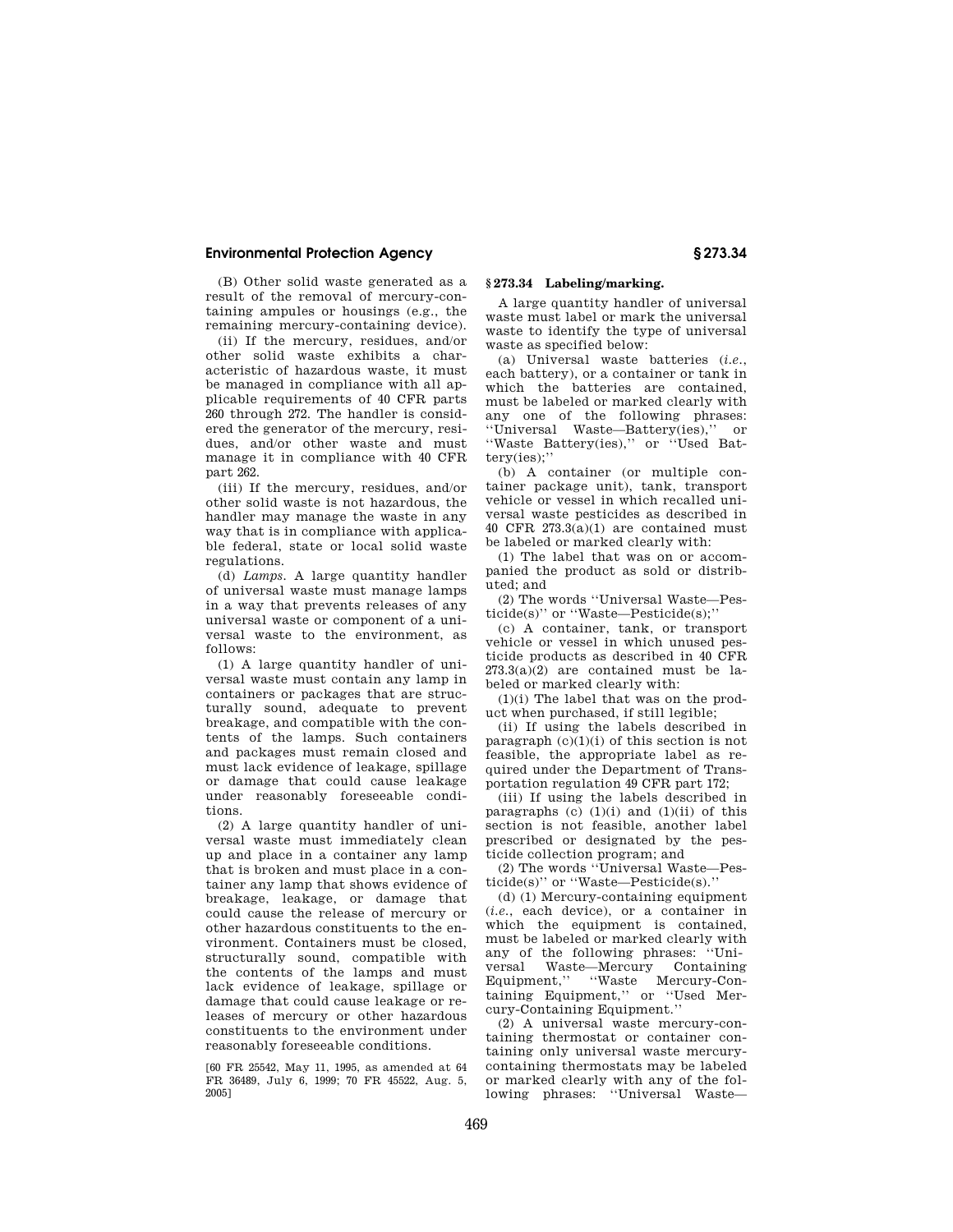(B) Other solid waste generated as a result of the removal of mercury-containing ampules or housings (e.g., the remaining mercury-containing device).

(ii) If the mercury, residues, and/or other solid waste exhibits a characteristic of hazardous waste, it must be managed in compliance with all applicable requirements of 40 CFR parts 260 through 272. The handler is considered the generator of the mercury, residues, and/or other waste and must manage it in compliance with 40 CFR part 262.

(iii) If the mercury, residues, and/or other solid waste is not hazardous, the handler may manage the waste in any way that is in compliance with applicable federal, state or local solid waste regulations.

(d) *Lamps.* A large quantity handler of universal waste must manage lamps in a way that prevents releases of any universal waste or component of a universal waste to the environment, as follows:

(1) A large quantity handler of universal waste must contain any lamp in containers or packages that are structurally sound, adequate to prevent breakage, and compatible with the contents of the lamps. Such containers and packages must remain closed and must lack evidence of leakage, spillage or damage that could cause leakage under reasonably foreseeable conditions.

(2) A large quantity handler of universal waste must immediately clean up and place in a container any lamp that is broken and must place in a container any lamp that shows evidence of breakage, leakage, or damage that could cause the release of mercury or other hazardous constituents to the environment. Containers must be closed, structurally sound, compatible with the contents of the lamps and must lack evidence of leakage, spillage or damage that could cause leakage or releases of mercury or other hazardous constituents to the environment under reasonably foreseeable conditions.

[60 FR 25542, May 11, 1995, as amended at 64 FR 36489, July 6, 1999; 70 FR 45522, Aug. 5, 2005]

# **§ 273.34 Labeling/marking.**

A large quantity handler of universal waste must label or mark the universal waste to identify the type of universal waste as specified below:

(a) Universal waste batteries (*i.e.*, each battery), or a container or tank in which the batteries are contained, must be labeled or marked clearly with any one of the following phrases: ''Universal Waste—Battery(ies),'' or ''Waste Battery(ies),'' or ''Used Battery(ies);''

(b) A container (or multiple container package unit), tank, transport vehicle or vessel in which recalled universal waste pesticides as described in 40 CFR  $273.3(a)(1)$  are contained must be labeled or marked clearly with:

(1) The label that was on or accompanied the product as sold or distributed; and

(2) The words ''Universal Waste—Pesticide(s)'' or ''Waste—Pesticide(s);''

(c) A container, tank, or transport vehicle or vessel in which unused pesticide products as described in 40 CFR  $273.3(a)(2)$  are contained must be labeled or marked clearly with:

(1)(i) The label that was on the product when purchased, if still legible;

(ii) If using the labels described in paragraph  $(c)(1)(i)$  of this section is not feasible, the appropriate label as required under the Department of Transportation regulation 49 CFR part 172;

(iii) If using the labels described in paragraphs (c)  $(1)(i)$  and  $(1)(ii)$  of this section is not feasible, another label prescribed or designated by the pesticide collection program; and

(2) The words ''Universal Waste—Pesticide(s)'' or ''Waste—Pesticide(s).''

(d) (1) Mercury-containing equipment (*i.e.*, each device), or a container in which the equipment is contained, must be labeled or marked clearly with any of the following phrases: ''Universal Waste—Mercury Containing Equipment,'' ''Waste Mercury-Containing Equipment,'' or ''Used Mercury-Containing Equipment.''

(2) A universal waste mercury-containing thermostat or container containing only universal waste mercurycontaining thermostats may be labeled or marked clearly with any of the following phrases: ''Universal Waste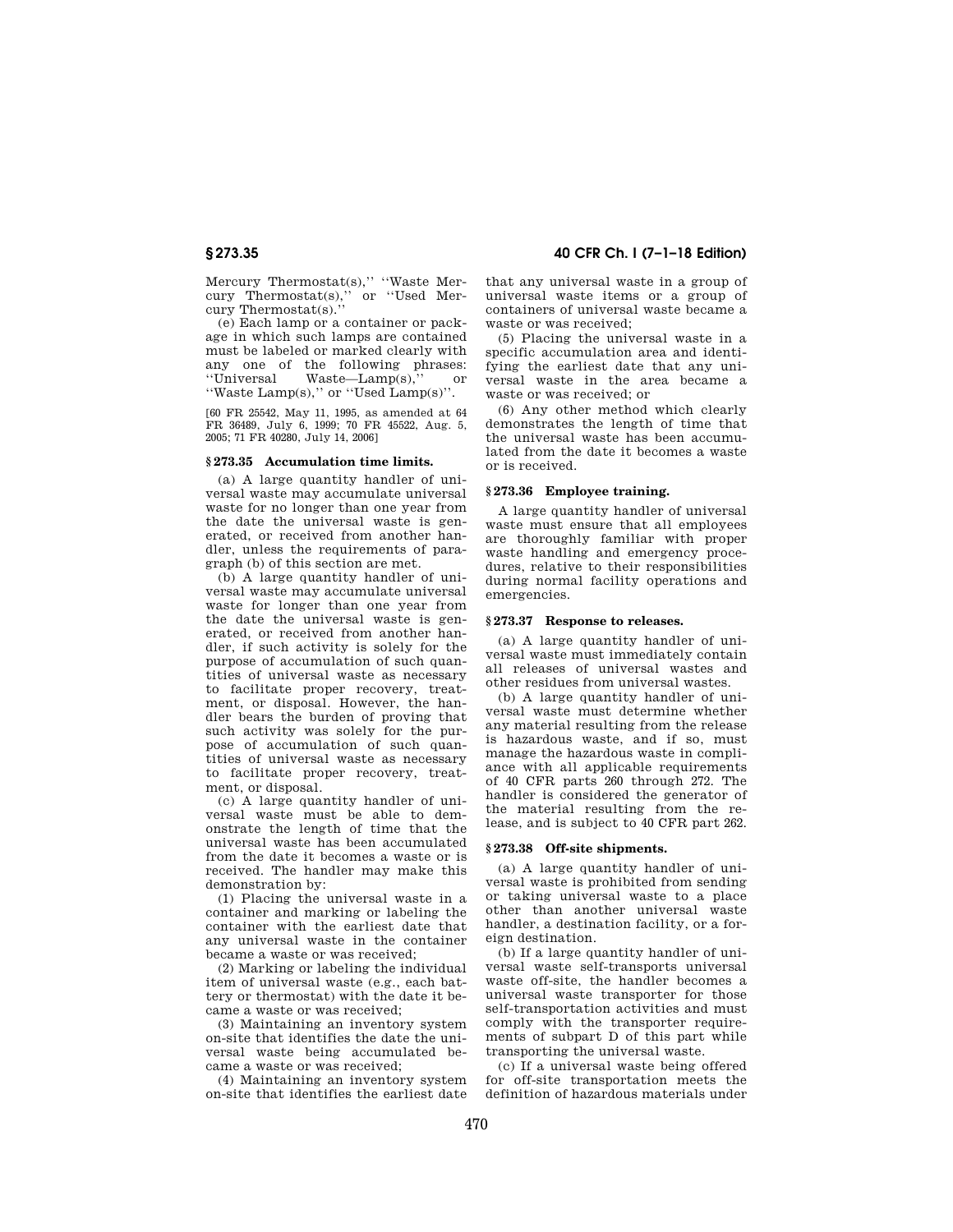Mercury Thermostat(s)," "Waste Mer-<br>cury Thermostat(s)," or "Used Mercury Thermostat(s)," cury Thermostat(s).''

(e) Each lamp or a container or package in which such lamps are contained must be labeled or marked clearly with any one of the following phrases:<br>"Universal Waste—Lamp(s)," or  $Waste—Lamp(s),'$  or ''Waste Lamp(s),'' or ''Used Lamp(s)''.

[60 FR 25542, May 11, 1995, as amended at 64 FR 36489, July 6, 1999; 70 FR 45522, Aug. 5, 2005; 71 FR 40280, July 14, 2006]

#### **§ 273.35 Accumulation time limits.**

(a) A large quantity handler of universal waste may accumulate universal waste for no longer than one year from the date the universal waste is generated, or received from another handler, unless the requirements of paragraph (b) of this section are met.

(b) A large quantity handler of universal waste may accumulate universal waste for longer than one year from the date the universal waste is generated, or received from another handler, if such activity is solely for the purpose of accumulation of such quantities of universal waste as necessary to facilitate proper recovery, treatment, or disposal. However, the handler bears the burden of proving that such activity was solely for the purpose of accumulation of such quantities of universal waste as necessary to facilitate proper recovery, treatment, or disposal.

(c) A large quantity handler of universal waste must be able to demonstrate the length of time that the universal waste has been accumulated from the date it becomes a waste or is received. The handler may make this demonstration by:

(1) Placing the universal waste in a container and marking or labeling the container with the earliest date that any universal waste in the container became a waste or was received;

(2) Marking or labeling the individual item of universal waste (e.g., each battery or thermostat) with the date it became a waste or was received;

(3) Maintaining an inventory system on-site that identifies the date the universal waste being accumulated became a waste or was received;

(4) Maintaining an inventory system on-site that identifies the earliest date

**§ 273.35 40 CFR Ch. I (7–1–18 Edition)** 

that any universal waste in a group of universal waste items or a group of containers of universal waste became a waste or was received;

(5) Placing the universal waste in a specific accumulation area and identifying the earliest date that any universal waste in the area became a waste or was received; or

(6) Any other method which clearly demonstrates the length of time that the universal waste has been accumulated from the date it becomes a waste or is received.

#### **§ 273.36 Employee training.**

A large quantity handler of universal waste must ensure that all employees are thoroughly familiar with proper waste handling and emergency procedures, relative to their responsibilities during normal facility operations and emergencies.

#### **§ 273.37 Response to releases.**

(a) A large quantity handler of universal waste must immediately contain all releases of universal wastes and other residues from universal wastes.

(b) A large quantity handler of universal waste must determine whether any material resulting from the release is hazardous waste, and if so, must manage the hazardous waste in compliance with all applicable requirements of 40 CFR parts 260 through 272. The handler is considered the generator of the material resulting from the release, and is subject to 40 CFR part 262.

#### **§ 273.38 Off-site shipments.**

(a) A large quantity handler of universal waste is prohibited from sending or taking universal waste to a place other than another universal waste handler, a destination facility, or a foreign destination.

(b) If a large quantity handler of universal waste self-transports universal waste off-site, the handler becomes a universal waste transporter for those self-transportation activities and must comply with the transporter requirements of subpart D of this part while transporting the universal waste.

(c) If a universal waste being offered for off-site transportation meets the definition of hazardous materials under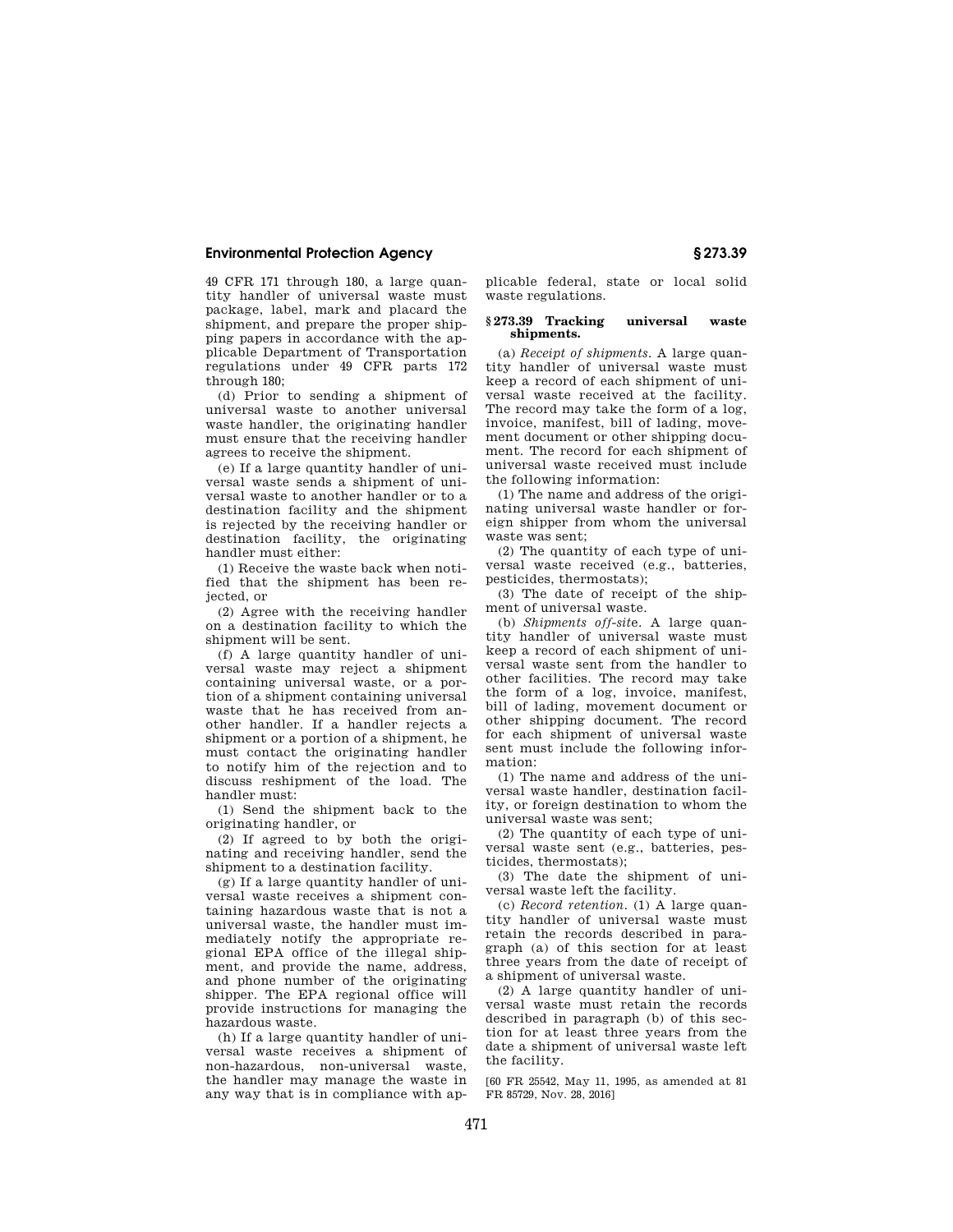49 CFR 171 through 180, a large quantity handler of universal waste must package, label, mark and placard the shipment, and prepare the proper shipping papers in accordance with the applicable Department of Transportation regulations under 49 CFR parts 172 through 180;

(d) Prior to sending a shipment of universal waste to another universal waste handler, the originating handler must ensure that the receiving handler agrees to receive the shipment.

(e) If a large quantity handler of universal waste sends a shipment of universal waste to another handler or to a destination facility and the shipment is rejected by the receiving handler or destination facility, the originating handler must either:

(1) Receive the waste back when notified that the shipment has been rejected, or

(2) Agree with the receiving handler on a destination facility to which the shipment will be sent.

(f) A large quantity handler of universal waste may reject a shipment containing universal waste, or a portion of a shipment containing universal waste that he has received from another handler. If a handler rejects a shipment or a portion of a shipment, he must contact the originating handler to notify him of the rejection and to discuss reshipment of the load. The handler must:

(1) Send the shipment back to the originating handler, or

(2) If agreed to by both the originating and receiving handler, send the shipment to a destination facility.

(g) If a large quantity handler of universal waste receives a shipment containing hazardous waste that is not a universal waste, the handler must immediately notify the appropriate regional EPA office of the illegal shipment, and provide the name, address. and phone number of the originating shipper. The EPA regional office will provide instructions for managing the hazardous waste.

(h) If a large quantity handler of universal waste receives a shipment of non-hazardous, non-universal waste, the handler may manage the waste in any way that is in compliance with applicable federal, state or local solid waste regulations.

#### **§ 273.39 Tracking universal waste shipments.**

(a) *Receipt of shipments.* A large quantity handler of universal waste must keep a record of each shipment of universal waste received at the facility. The record may take the form of a log, invoice, manifest, bill of lading, movement document or other shipping document. The record for each shipment of universal waste received must include the following information:

(1) The name and address of the originating universal waste handler or foreign shipper from whom the universal waste was sent;

(2) The quantity of each type of universal waste received (e.g., batteries, pesticides, thermostats);

(3) The date of receipt of the shipment of universal waste.

(b) *Shipments off-sit*e. A large quantity handler of universal waste must keep a record of each shipment of universal waste sent from the handler to other facilities. The record may take the form of a log, invoice, manifest, bill of lading, movement document or other shipping document. The record for each shipment of universal waste sent must include the following information:

(1) The name and address of the universal waste handler, destination facility, or foreign destination to whom the universal waste was sent;

(2) The quantity of each type of universal waste sent (e.g., batteries, pesticides, thermostats);

(3) The date the shipment of universal waste left the facility.

(c) *Record retention.* (1) A large quantity handler of universal waste must retain the records described in paragraph (a) of this section for at least three years from the date of receipt of a shipment of universal waste.

(2) A large quantity handler of universal waste must retain the records described in paragraph (b) of this section for at least three years from the date a shipment of universal waste left the facility.

[60 FR 25542, May 11, 1995, as amended at 81 FR 85729, Nov. 28, 2016]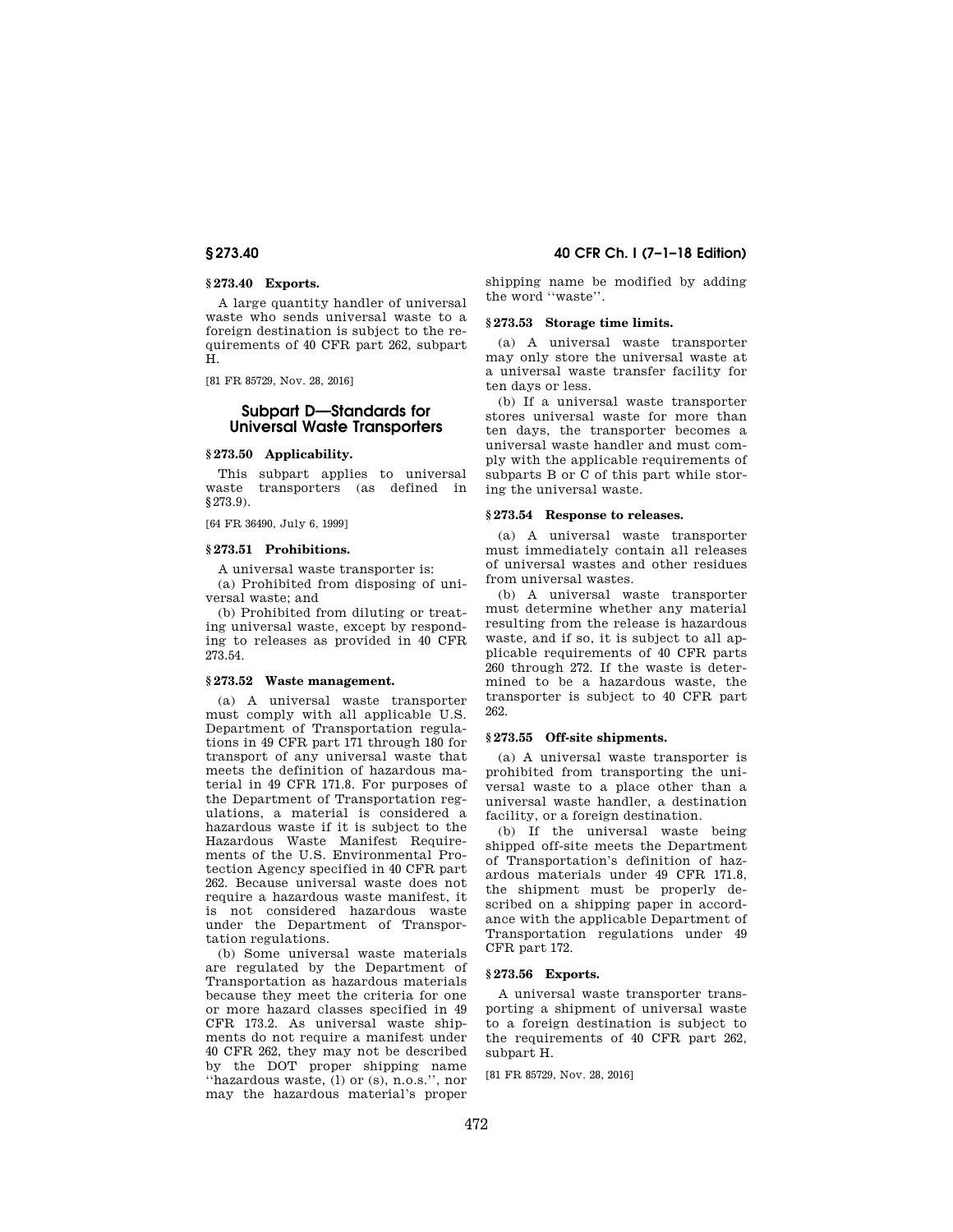#### **§ 273.40 Exports.**

A large quantity handler of universal waste who sends universal waste to a foreign destination is subject to the requirements of 40 CFR part 262, subpart H.

[81 FR 85729, Nov. 28, 2016]

# **Subpart D—Standards for Universal Waste Transporters**

#### **§ 273.50 Applicability.**

This subpart applies to universal waste transporters (as defined in §273.9).

[64 FR 36490, July 6, 1999]

### **§ 273.51 Prohibitions.**

A universal waste transporter is:

(a) Prohibited from disposing of universal waste; and

(b) Prohibited from diluting or treating universal waste, except by responding to releases as provided in 40 CFR 273.54.

# **§ 273.52 Waste management.**

(a) A universal waste transporter must comply with all applicable U.S. Department of Transportation regulations in 49 CFR part 171 through 180 for transport of any universal waste that meets the definition of hazardous material in 49 CFR 171.8. For purposes of the Department of Transportation regulations, a material is considered a hazardous waste if it is subject to the Hazardous Waste Manifest Requirements of the U.S. Environmental Protection Agency specified in 40 CFR part 262. Because universal waste does not require a hazardous waste manifest, it is not considered hazardous waste under the Department of Transportation regulations.

(b) Some universal waste materials are regulated by the Department of Transportation as hazardous materials because they meet the criteria for one or more hazard classes specified in 49 CFR 173.2. As universal waste shipments do not require a manifest under 40 CFR 262, they may not be described by the DOT proper shipping name ''hazardous waste, (l) or (s), n.o.s.'', nor may the hazardous material's proper

**§ 273.40 40 CFR Ch. I (7–1–18 Edition)** 

shipping name be modified by adding the word ''waste''.

# **§ 273.53 Storage time limits.**

(a) A universal waste transporter may only store the universal waste at a universal waste transfer facility for ten days or less.

(b) If a universal waste transporter stores universal waste for more than ten days, the transporter becomes a universal waste handler and must comply with the applicable requirements of subparts B or C of this part while storing the universal waste.

#### **§ 273.54 Response to releases.**

(a) A universal waste transporter must immediately contain all releases of universal wastes and other residues from universal wastes.

(b) A universal waste transporter must determine whether any material resulting from the release is hazardous waste, and if so, it is subject to all applicable requirements of 40 CFR parts 260 through 272. If the waste is determined to be a hazardous waste, the transporter is subject to 40 CFR part 262.

#### **§ 273.55 Off-site shipments.**

(a) A universal waste transporter is prohibited from transporting the universal waste to a place other than a universal waste handler, a destination facility, or a foreign destination.

(b) If the universal waste being shipped off-site meets the Department of Transportation's definition of hazardous materials under 49 CFR 171.8, the shipment must be properly described on a shipping paper in accordance with the applicable Department of Transportation regulations under 49 CFR part 172.

# **§ 273.56 Exports.**

A universal waste transporter transporting a shipment of universal waste to a foreign destination is subject to the requirements of 40 CFR part 262, subpart H.

[81 FR 85729, Nov. 28, 2016]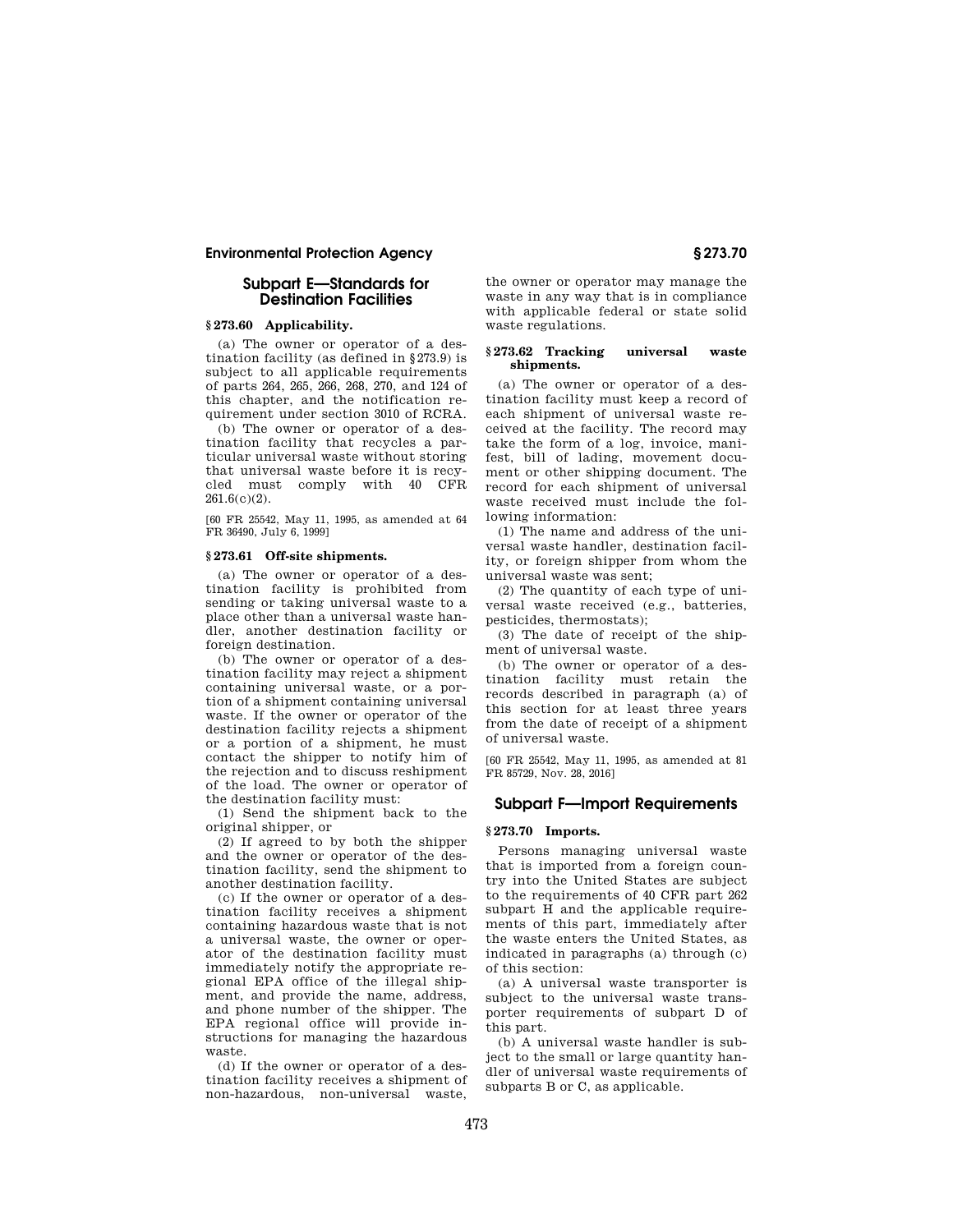# **Subpart E—Standards for Destination Facilities**

## **§ 273.60 Applicability.**

(a) The owner or operator of a destination facility (as defined in §273.9) is subject to all applicable requirements of parts 264, 265, 266, 268, 270, and 124 of this chapter, and the notification requirement under section 3010 of RCRA.

(b) The owner or operator of a destination facility that recycles a particular universal waste without storing that universal waste before it is recycled must comply with 40 CFR 261.6(c)(2).

[60 FR 25542, May 11, 1995, as amended at 64 FR 36490, July 6, 1999]

#### **§ 273.61 Off-site shipments.**

(a) The owner or operator of a destination facility is prohibited from sending or taking universal waste to a place other than a universal waste handler, another destination facility or foreign destination.

(b) The owner or operator of a destination facility may reject a shipment containing universal waste, or a portion of a shipment containing universal waste. If the owner or operator of the destination facility rejects a shipment or a portion of a shipment, he must contact the shipper to notify him of the rejection and to discuss reshipment of the load. The owner or operator of the destination facility must:

(1) Send the shipment back to the original shipper, or

(2) If agreed to by both the shipper and the owner or operator of the destination facility, send the shipment to another destination facility.

(c) If the owner or operator of a destination facility receives a shipment containing hazardous waste that is not a universal waste, the owner or operator of the destination facility must immediately notify the appropriate regional EPA office of the illegal shipment, and provide the name, address, and phone number of the shipper. The EPA regional office will provide instructions for managing the hazardous waste.

(d) If the owner or operator of a destination facility receives a shipment of non-hazardous, non-universal waste,

the owner or operator may manage the waste in any way that is in compliance with applicable federal or state solid waste regulations.

## **§ 273.62 Tracking universal waste shipments.**

(a) The owner or operator of a destination facility must keep a record of each shipment of universal waste received at the facility. The record may take the form of a log, invoice, manifest, bill of lading, movement document or other shipping document. The record for each shipment of universal waste received must include the following information:

(1) The name and address of the universal waste handler, destination facility, or foreign shipper from whom the universal waste was sent;

(2) The quantity of each type of universal waste received (e.g., batteries, pesticides, thermostats);

(3) The date of receipt of the shipment of universal waste.

(b) The owner or operator of a destination facility must retain the records described in paragraph (a) of this section for at least three years from the date of receipt of a shipment of universal waste.

[60 FR 25542, May 11, 1995, as amended at 81 FR 85729, Nov. 28, 2016]

# **Subpart F—Import Requirements**

# **§ 273.70 Imports.**

Persons managing universal waste that is imported from a foreign country into the United States are subject to the requirements of 40 CFR part 262 subpart H and the applicable requirements of this part, immediately after the waste enters the United States, as indicated in paragraphs (a) through (c) of this section:

(a) A universal waste transporter is subject to the universal waste transporter requirements of subpart D of this part.

(b) A universal waste handler is subject to the small or large quantity handler of universal waste requirements of subparts B or C, as applicable.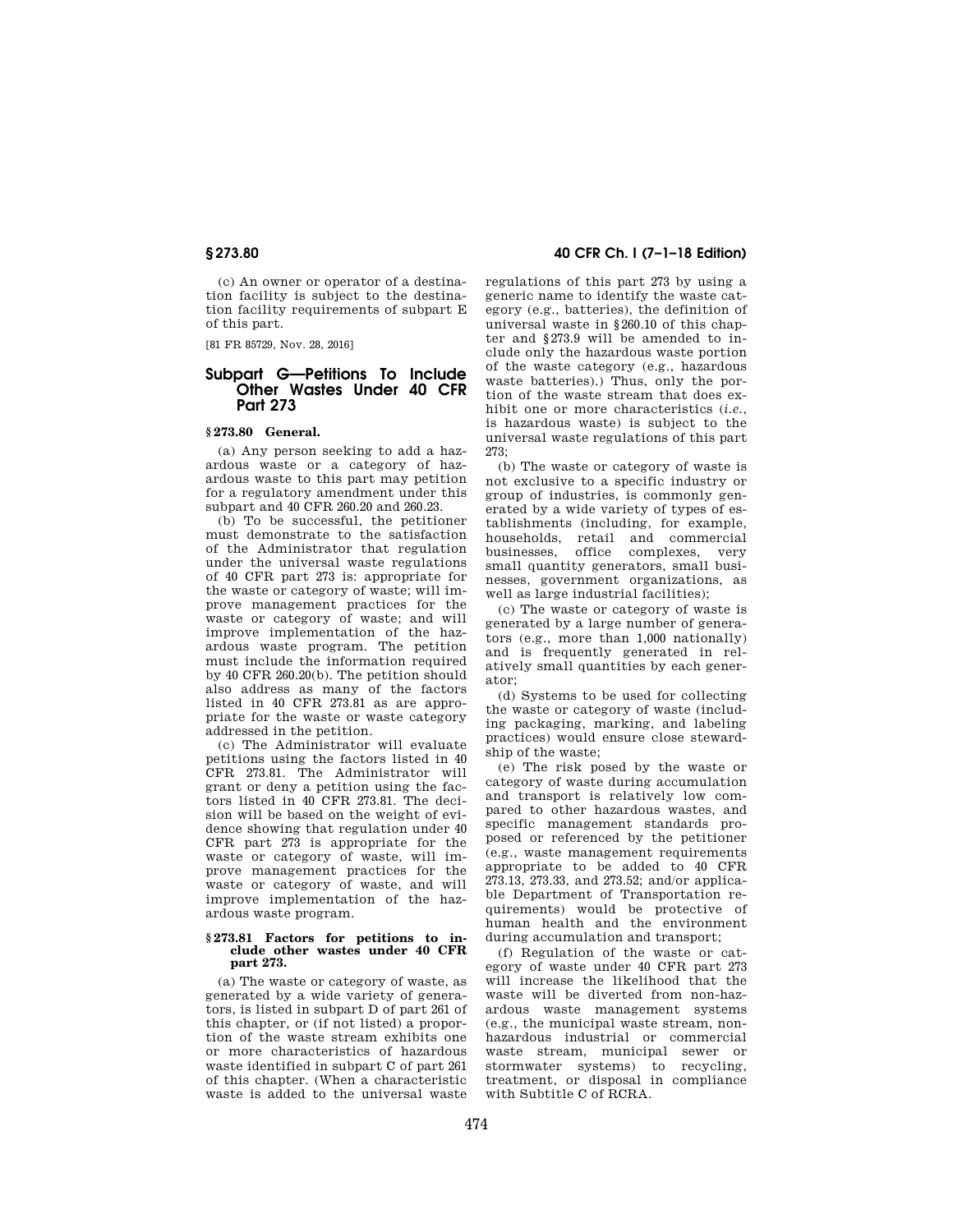(c) An owner or operator of a destination facility is subject to the destination facility requirements of subpart E of this part.

[81 FR 85729, Nov. 28, 2016]

# **Subpart G—Petitions To Include Other Wastes Under 40 CFR Part 273**

## **§ 273.80 General.**

(a) Any person seeking to add a hazardous waste or a category of hazardous waste to this part may petition for a regulatory amendment under this subpart and 40 CFR 260.20 and 260.23.

(b) To be successful, the petitioner must demonstrate to the satisfaction of the Administrator that regulation under the universal waste regulations of 40 CFR part 273 is: appropriate for the waste or category of waste; will improve management practices for the waste or category of waste; and will improve implementation of the hazardous waste program. The petition must include the information required by 40 CFR 260.20(b). The petition should also address as many of the factors listed in 40 CFR 273.81 as are appropriate for the waste or waste category addressed in the petition.

(c) The Administrator will evaluate petitions using the factors listed in 40 CFR 273.81. The Administrator will grant or deny a petition using the factors listed in 40 CFR 273.81. The decision will be based on the weight of evidence showing that regulation under 40 CFR part 273 is appropriate for the waste or category of waste, will improve management practices for the waste or category of waste, and will improve implementation of the hazardous waste program.

#### **§ 273.81 Factors for petitions to include other wastes under 40 CFR part 273.**

(a) The waste or category of waste, as generated by a wide variety of generators, is listed in subpart D of part 261 of this chapter, or (if not listed) a proportion of the waste stream exhibits one or more characteristics of hazardous waste identified in subpart C of part 261 of this chapter. (When a characteristic waste is added to the universal waste

# **§ 273.80 40 CFR Ch. I (7–1–18 Edition)**

regulations of this part 273 by using a generic name to identify the waste category (e.g., batteries), the definition of universal waste in §260.10 of this chapter and §273.9 will be amended to include only the hazardous waste portion of the waste category (e.g., hazardous waste batteries).) Thus, only the portion of the waste stream that does exhibit one or more characteristics (*i.e.*, is hazardous waste) is subject to the universal waste regulations of this part 273;

(b) The waste or category of waste is not exclusive to a specific industry or group of industries, is commonly generated by a wide variety of types of establishments (including, for example, households, retail and commercial businesses, office complexes, very small quantity generators, small businesses, government organizations, as well as large industrial facilities);

(c) The waste or category of waste is generated by a large number of generators (e.g., more than 1,000 nationally) and is frequently generated in relatively small quantities by each generator;

(d) Systems to be used for collecting the waste or category of waste (including packaging, marking, and labeling practices) would ensure close stewardship of the waste;

(e) The risk posed by the waste or category of waste during accumulation and transport is relatively low compared to other hazardous wastes, and specific management standards proposed or referenced by the petitioner (e.g., waste management requirements appropriate to be added to 40 CFR 273.13, 273.33, and 273.52; and/or applicable Department of Transportation requirements) would be protective of human health and the environment during accumulation and transport;

(f) Regulation of the waste or category of waste under 40 CFR part 273 will increase the likelihood that the waste will be diverted from non-hazardous waste management systems (e.g., the municipal waste stream, nonhazardous industrial or commercial waste stream, municipal sewer or stormwater systems) to recycling, treatment, or disposal in compliance with Subtitle C of RCRA.